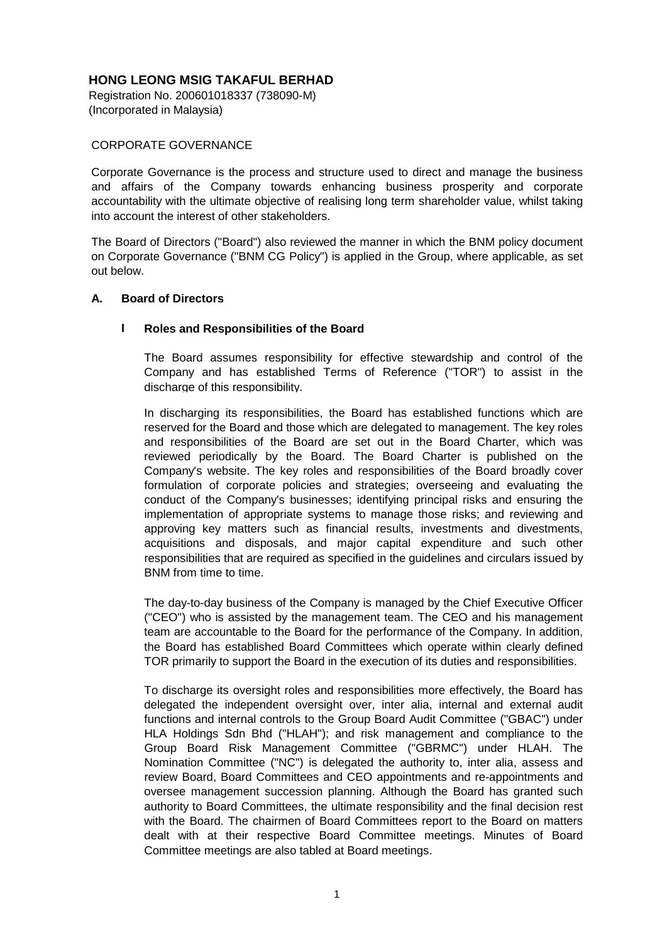Registration No. 200601018337 (738090-M) (Incorporated in Malaysia)

### CORPORATE GOVERNANCE

Corporate Governance is the process and structure used to direct and manage the business and affairs of the Company towards enhancing business prosperity and corporate accountability with the ultimate objective of realising long term shareholder value, whilst taking into account the interest of other stakeholders.

The Board of Directors ("Board") also reviewed the manner in which the BNM policy document on Corporate Governance ("BNM CG Policy") is applied in the Group, where applicable, as set out below.

#### **A. Board of Directors**

### **I Roles and Responsibilities of the Board**

The Board assumes responsibility for effective stewardship and control of the Company and has established Terms of Reference ("TOR") to assist in the discharge of this responsibility.

In discharging its responsibilities, the Board has established functions which are reserved for the Board and those which are delegated to management. The key roles and responsibilities of the Board are set out in the Board Charter, which was reviewed periodically by the Board. The Board Charter is published on the Company's website. The key roles and responsibilities of the Board broadly cover formulation of corporate policies and strategies; overseeing and evaluating the conduct of the Company's businesses; identifying principal risks and ensuring the implementation of appropriate systems to manage those risks; and reviewing and approving key matters such as financial results, investments and divestments, acquisitions and disposals, and major capital expenditure and such other responsibilities that are required as specified in the guidelines and circulars issued by BNM from time to time.

The day-to-day business of the Company is managed by the Chief Executive Officer ("CEO") who is assisted by the management team. The CEO and his management team are accountable to the Board for the performance of the Company. In addition, the Board has established Board Committees which operate within clearly defined TOR primarily to support the Board in the execution of its duties and responsibilities.

To discharge its oversight roles and responsibilities more effectively, the Board has delegated the independent oversight over, inter alia, internal and external audit functions and internal controls to the Group Board Audit Committee ("GBAC") under HLA Holdings Sdn Bhd ("HLAH"); and risk management and compliance to the Group Board Risk Management Committee ("GBRMC") under HLAH. The Nomination Committee ("NC") is delegated the authority to, inter alia, assess and review Board, Board Committees and CEO appointments and re-appointments and oversee management succession planning. Although the Board has granted such authority to Board Committees, the ultimate responsibility and the final decision rest with the Board. The chairmen of Board Committees report to the Board on matters dealt with at their respective Board Committee meetings. Minutes of Board Committee meetings are also tabled at Board meetings.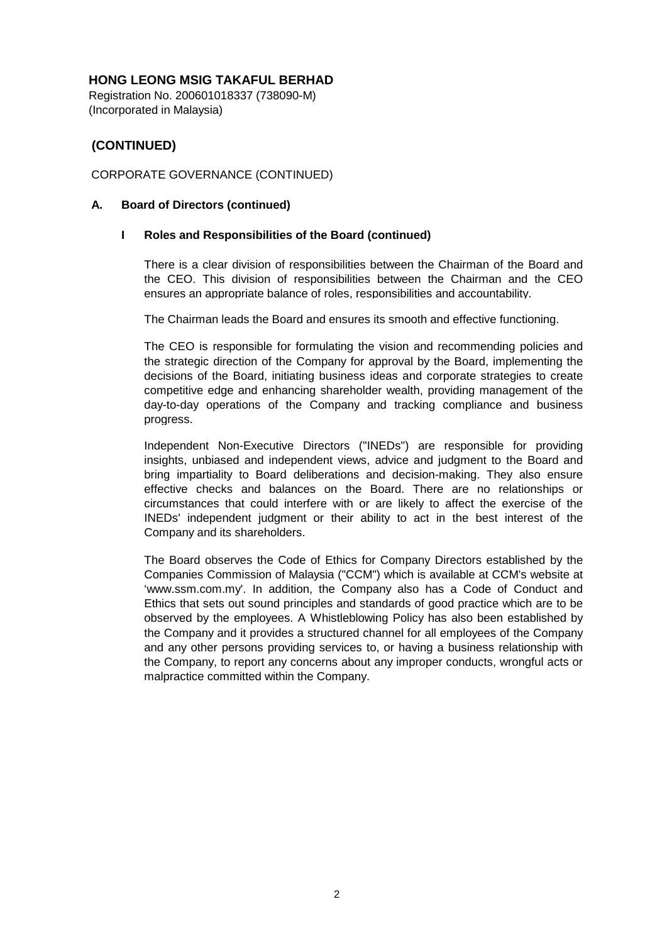Registration No. 200601018337 (738090-M) (Incorporated in Malaysia)

# **(CONTINUED)**

## CORPORATE GOVERNANCE (CONTINUED)

### **A. Board of Directors (continued)**

### **I Roles and Responsibilities of the Board (continued)**

There is a clear division of responsibilities between the Chairman of the Board and the CEO. This division of responsibilities between the Chairman and the CEO ensures an appropriate balance of roles, responsibilities and accountability.

The Chairman leads the Board and ensures its smooth and effective functioning.

The CEO is responsible for formulating the vision and recommending policies and the strategic direction of the Company for approval by the Board, implementing the decisions of the Board, initiating business ideas and corporate strategies to create competitive edge and enhancing shareholder wealth, providing management of the day-to-day operations of the Company and tracking compliance and business progress.

Independent Non-Executive Directors ("INEDs") are responsible for providing insights, unbiased and independent views, advice and judgment to the Board and bring impartiality to Board deliberations and decision-making. They also ensure effective checks and balances on the Board. There are no relationships or circumstances that could interfere with or are likely to affect the exercise of the INEDs' independent judgment or their ability to act in the best interest of the Company and its shareholders.

The Board observes the Code of Ethics for Company Directors established by the Companies Commission of Malaysia ("CCM") which is available at CCM's website at 'www.ssm.com.my'. In addition, the Company also has a Code of Conduct and Ethics that sets out sound principles and standards of good practice which are to be observed by the employees. A Whistleblowing Policy has also been established by the Company and it provides a structured channel for all employees of the Company and any other persons providing services to, or having a business relationship with the Company, to report any concerns about any improper conducts, wrongful acts or malpractice committed within the Company.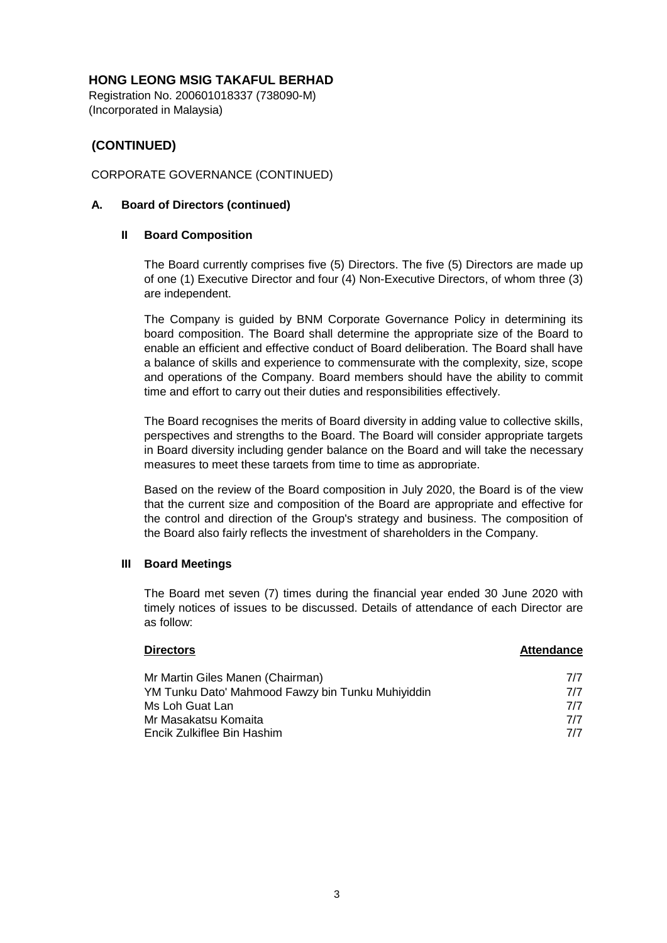Registration No. 200601018337 (738090-M) (Incorporated in Malaysia)

# **(CONTINUED)**

## CORPORATE GOVERNANCE (CONTINUED)

### **A. Board of Directors (continued)**

### **II Board Composition**

The Board currently comprises five (5) Directors. The five (5) Directors are made up of one (1) Executive Director and four (4) Non-Executive Directors, of whom three (3) are independent.

The Company is guided by BNM Corporate Governance Policy in determining its board composition. The Board shall determine the appropriate size of the Board to enable an efficient and effective conduct of Board deliberation. The Board shall have a balance of skills and experience to commensurate with the complexity, size, scope and operations of the Company. Board members should have the ability to commit time and effort to carry out their duties and responsibilities effectively.

The Board recognises the merits of Board diversity in adding value to collective skills, perspectives and strengths to the Board. The Board will consider appropriate targets in Board diversity including gender balance on the Board and will take the necessary measures to meet these targets from time to time as appropriate.

Based on the review of the Board composition in July 2020, the Board is of the view that the current size and composition of the Board are appropriate and effective for the control and direction of the Group's strategy and business. The composition of the Board also fairly reflects the investment of shareholders in the Company.

### **III Board Meetings**

The Board met seven (7) times during the financial year ended 30 June 2020 with timely notices of issues to be discussed. Details of attendance of each Director are as follow:

| <b>Directors</b>                                  | <b>Attendance</b> |
|---------------------------------------------------|-------------------|
| Mr Martin Giles Manen (Chairman)                  | 7/7               |
| YM Tunku Dato' Mahmood Fawzy bin Tunku Muhiyiddin | 7/7               |
| Ms Loh Guat Lan                                   | 7/7               |
| Mr Masakatsu Komaita                              | 7/7               |
| Encik Zulkiflee Bin Hashim                        | 7/7               |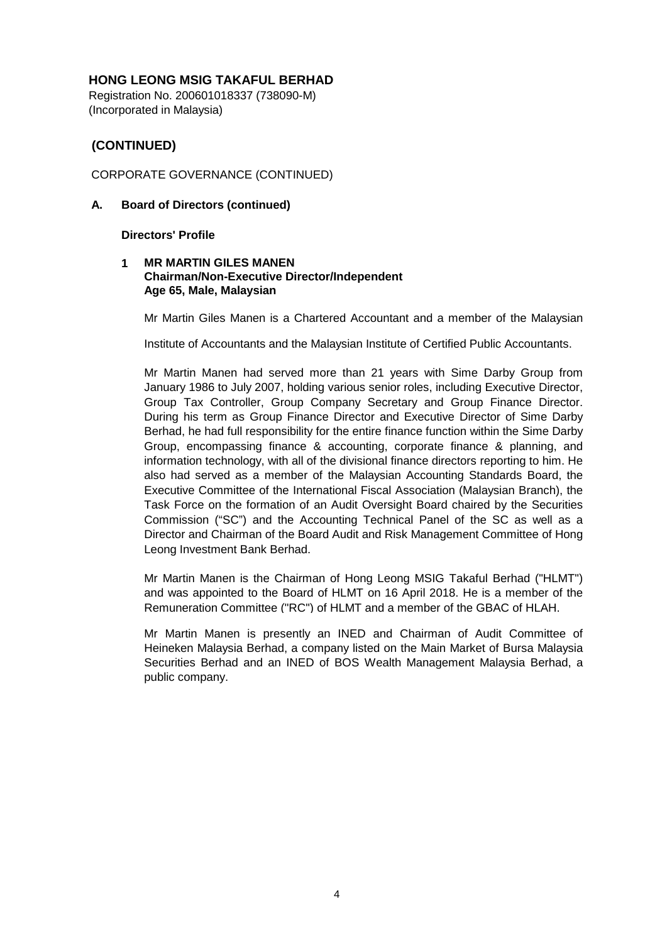Registration No. 200601018337 (738090-M) (Incorporated in Malaysia)

# **(CONTINUED)**

### CORPORATE GOVERNANCE (CONTINUED)

### **A. Board of Directors (continued)**

**Directors' Profile**

### **1 MR MARTIN GILES MANEN Chairman/Non-Executive Director/Independent Age 65, Male, Malaysian**

Mr Martin Giles Manen is a Chartered Accountant and a member of the Malaysian

Institute of Accountants and the Malaysian Institute of Certified Public Accountants.

Mr Martin Manen had served more than 21 years with Sime Darby Group from January 1986 to July 2007, holding various senior roles, including Executive Director, Group Tax Controller, Group Company Secretary and Group Finance Director. During his term as Group Finance Director and Executive Director of Sime Darby Berhad, he had full responsibility for the entire finance function within the Sime Darby Group, encompassing finance & accounting, corporate finance & planning, and information technology, with all of the divisional finance directors reporting to him. He also had served as a member of the Malaysian Accounting Standards Board, the Executive Committee of the International Fiscal Association (Malaysian Branch), the Task Force on the formation of an Audit Oversight Board chaired by the Securities Commission ("SC") and the Accounting Technical Panel of the SC as well as a Director and Chairman of the Board Audit and Risk Management Committee of Hong Leong Investment Bank Berhad.

Mr Martin Manen is the Chairman of Hong Leong MSIG Takaful Berhad ("HLMT") and was appointed to the Board of HLMT on 16 April 2018. He is a member of the Remuneration Committee ("RC") of HLMT and a member of the GBAC of HLAH.

Mr Martin Manen is presently an INED and Chairman of Audit Committee of Heineken Malaysia Berhad, a company listed on the Main Market of Bursa Malaysia Securities Berhad and an INED of BOS Wealth Management Malaysia Berhad, a public company.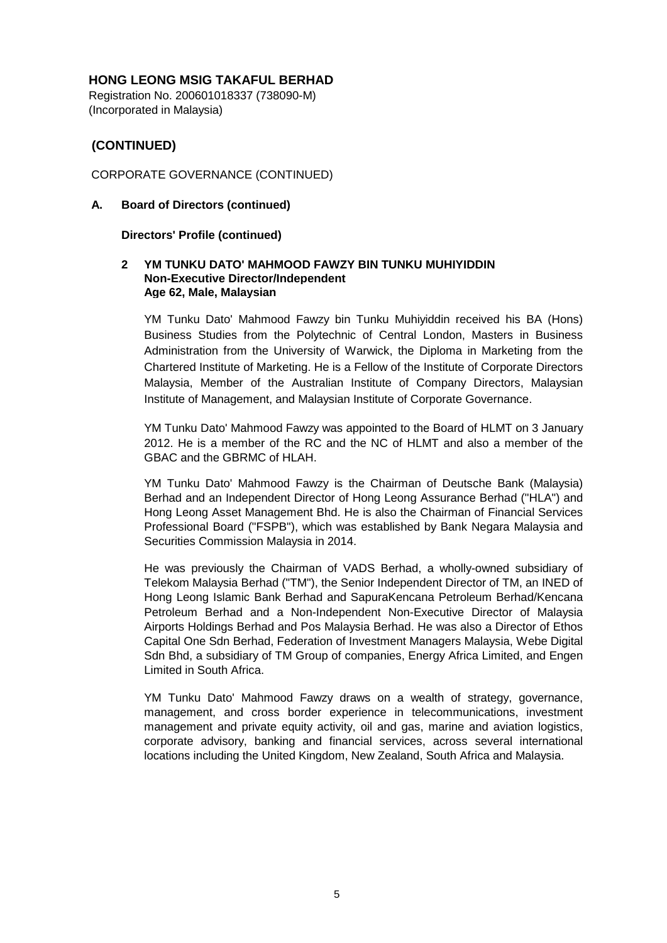Registration No. 200601018337 (738090-M) (Incorporated in Malaysia)

# **(CONTINUED)**

CORPORATE GOVERNANCE (CONTINUED)

### **A. Board of Directors (continued)**

### **Directors' Profile (continued)**

### **2 YM TUNKU DATO' MAHMOOD FAWZY BIN TUNKU MUHIYIDDIN Non-Executive Director/Independent Age 62, Male, Malaysian**

YM Tunku Dato' Mahmood Fawzy bin Tunku Muhiyiddin received his BA (Hons) Business Studies from the Polytechnic of Central London, Masters in Business Administration from the University of Warwick, the Diploma in Marketing from the Chartered Institute of Marketing. He is a Fellow of the Institute of Corporate Directors Malaysia, Member of the Australian Institute of Company Directors, Malaysian Institute of Management, and Malaysian Institute of Corporate Governance.

YM Tunku Dato' Mahmood Fawzy was appointed to the Board of HLMT on 3 January 2012. He is a member of the RC and the NC of HLMT and also a member of the GBAC and the GBRMC of HLAH.

YM Tunku Dato' Mahmood Fawzy is the Chairman of Deutsche Bank (Malaysia) Berhad and an Independent Director of Hong Leong Assurance Berhad ("HLA") and Hong Leong Asset Management Bhd. He is also the Chairman of Financial Services Professional Board ("FSPB"), which was established by Bank Negara Malaysia and Securities Commission Malaysia in 2014.

He was previously the Chairman of VADS Berhad, a wholly-owned subsidiary of Telekom Malaysia Berhad ("TM"), the Senior Independent Director of TM, an INED of Hong Leong Islamic Bank Berhad and SapuraKencana Petroleum Berhad/Kencana Petroleum Berhad and a Non-Independent Non-Executive Director of Malaysia Airports Holdings Berhad and Pos Malaysia Berhad. He was also a Director of Ethos Capital One Sdn Berhad, Federation of Investment Managers Malaysia, Webe Digital Sdn Bhd, a subsidiary of TM Group of companies, Energy Africa Limited, and Engen Limited in South Africa.

YM Tunku Dato' Mahmood Fawzy draws on a wealth of strategy, governance, management, and cross border experience in telecommunications, investment management and private equity activity, oil and gas, marine and aviation logistics, corporate advisory, banking and financial services, across several international locations including the United Kingdom, New Zealand, South Africa and Malaysia.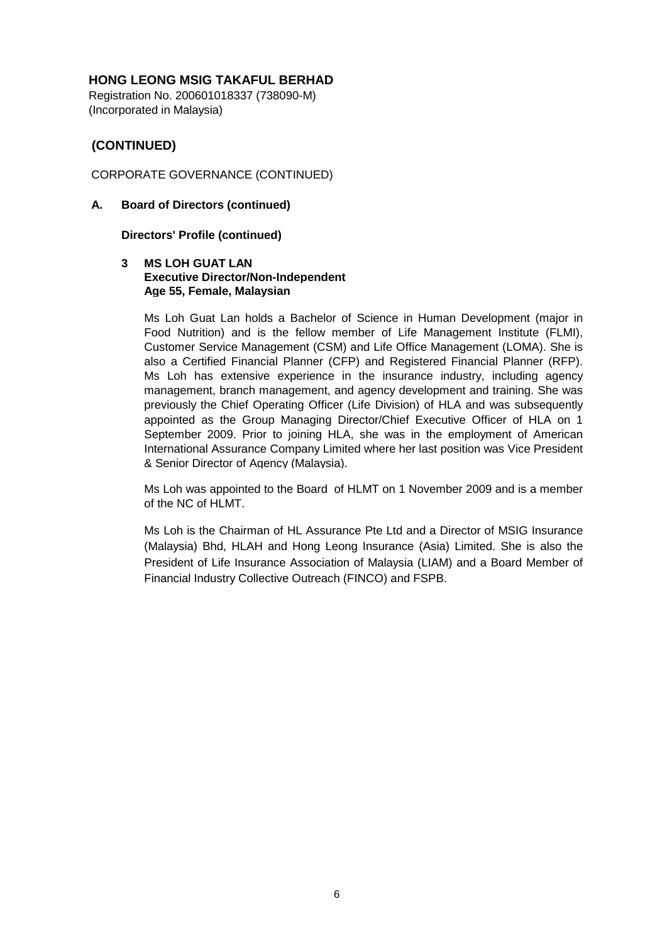Registration No. 200601018337 (738090-M) (Incorporated in Malaysia)

# **(CONTINUED)**

## CORPORATE GOVERNANCE (CONTINUED)

### **A. Board of Directors (continued)**

### **Directors' Profile (continued)**

#### **3 MS LOH GUAT LAN Executive Director/Non-Independent Age 55, Female, Malaysian**

Ms Loh Guat Lan holds a Bachelor of Science in Human Development (major in Food Nutrition) and is the fellow member of Life Management Institute (FLMI), Customer Service Management (CSM) and Life Office Management (LOMA). She is also a Certified Financial Planner (CFP) and Registered Financial Planner (RFP). Ms Loh has extensive experience in the insurance industry, including agency management, branch management, and agency development and training. She was previously the Chief Operating Officer (Life Division) of HLA and was subsequently appointed as the Group Managing Director/Chief Executive Officer of HLA on 1 September 2009. Prior to joining HLA, she was in the employment of American International Assurance Company Limited where her last position was Vice President & Senior Director of Agency (Malaysia).

Ms Loh was appointed to the Board of HLMT on 1 November 2009 and is a member of the NC of HLMT.

Ms Loh is the Chairman of HL Assurance Pte Ltd and a Director of MSIG Insurance (Malaysia) Bhd, HLAH and Hong Leong Insurance (Asia) Limited. She is also the President of Life Insurance Association of Malaysia (LIAM) and a Board Member of Financial Industry Collective Outreach (FINCO) and FSPB.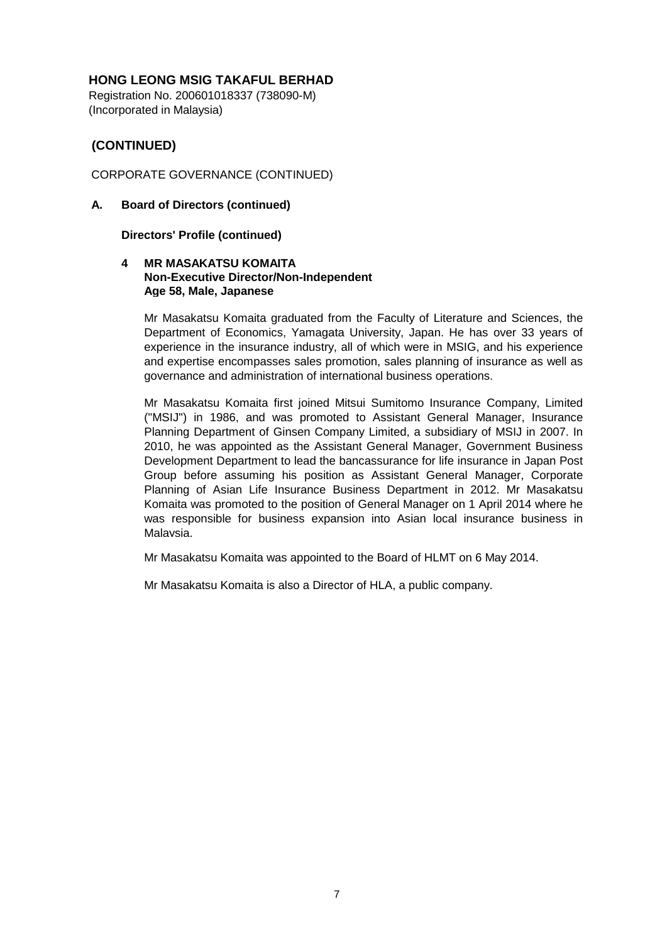Registration No. 200601018337 (738090-M) (Incorporated in Malaysia)

# **(CONTINUED)**

CORPORATE GOVERNANCE (CONTINUED)

## **A. Board of Directors (continued)**

### **Directors' Profile (continued)**

### **4 MR MASAKATSU KOMAITA Non-Executive Director/Non-Independent Age 58, Male, Japanese**

Mr Masakatsu Komaita graduated from the Faculty of Literature and Sciences, the Department of Economics, Yamagata University, Japan. He has over 33 years of experience in the insurance industry, all of which were in MSIG, and his experience and expertise encompasses sales promotion, sales planning of insurance as well as governance and administration of international business operations.

Mr Masakatsu Komaita first joined Mitsui Sumitomo Insurance Company, Limited ("MSIJ") in 1986, and was promoted to Assistant General Manager, Insurance Planning Department of Ginsen Company Limited, a subsidiary of MSIJ in 2007. In 2010, he was appointed as the Assistant General Manager, Government Business Development Department to lead the bancassurance for life insurance in Japan Post Group before assuming his position as Assistant General Manager, Corporate Planning of Asian Life Insurance Business Department in 2012. Mr Masakatsu Komaita was promoted to the position of General Manager on 1 April 2014 where he was responsible for business expansion into Asian local insurance business in Malaysia.

Mr Masakatsu Komaita was appointed to the Board of HLMT on 6 May 2014.

Mr Masakatsu Komaita is also a Director of HLA, a public company.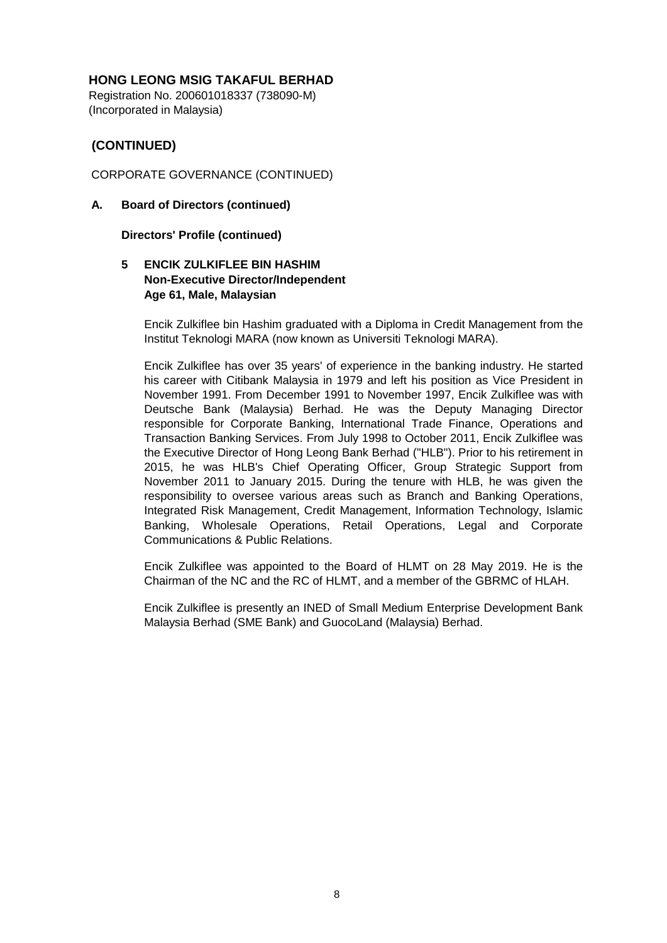Registration No. 200601018337 (738090-M) (Incorporated in Malaysia)

# **(CONTINUED)**

## CORPORATE GOVERNANCE (CONTINUED)

### **A. Board of Directors (continued)**

### **Directors' Profile (continued)**

# **5 ENCIK ZULKIFLEE BIN HASHIM Non-Executive Director/Independent Age 61, Male, Malaysian**

Encik Zulkiflee bin Hashim graduated with a Diploma in Credit Management from the Institut Teknologi MARA (now known as Universiti Teknologi MARA).

Encik Zulkiflee has over 35 years' of experience in the banking industry. He started his career with Citibank Malaysia in 1979 and left his position as Vice President in November 1991. From December 1991 to November 1997, Encik Zulkiflee was with Deutsche Bank (Malaysia) Berhad. He was the Deputy Managing Director responsible for Corporate Banking, International Trade Finance, Operations and Transaction Banking Services. From July 1998 to October 2011, Encik Zulkiflee was the Executive Director of Hong Leong Bank Berhad ("HLB"). Prior to his retirement in 2015, he was HLB's Chief Operating Officer, Group Strategic Support from November 2011 to January 2015. During the tenure with HLB, he was given the responsibility to oversee various areas such as Branch and Banking Operations, Integrated Risk Management, Credit Management, Information Technology, Islamic Banking, Wholesale Operations, Retail Operations, Legal and Corporate Communications & Public Relations.

Encik Zulkiflee was appointed to the Board of HLMT on 28 May 2019. He is the Chairman of the NC and the RC of HLMT, and a member of the GBRMC of HLAH.

Encik Zulkiflee is presently an INED of Small Medium Enterprise Development Bank Malaysia Berhad (SME Bank) and GuocoLand (Malaysia) Berhad.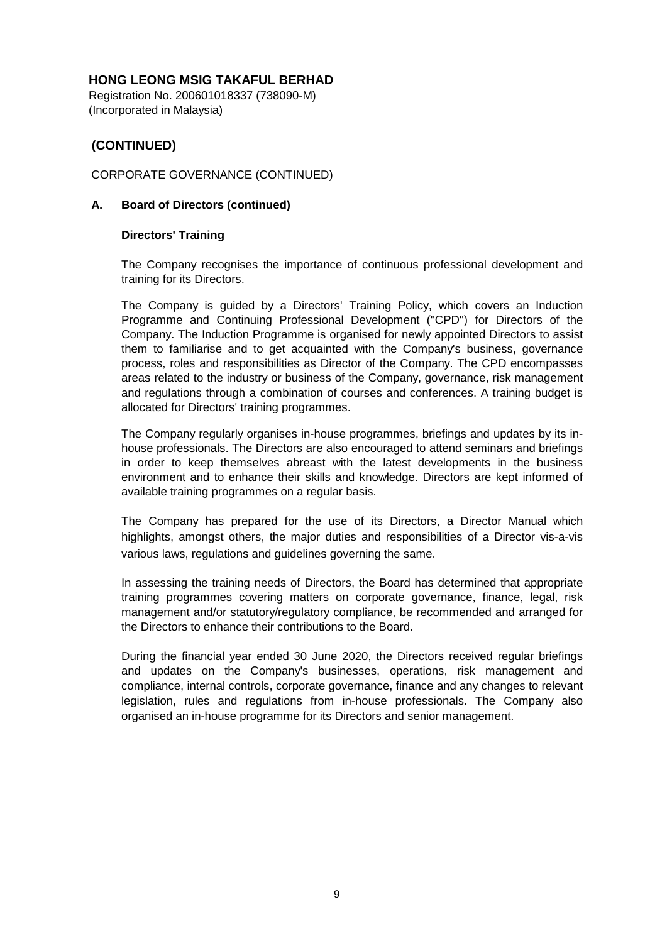Registration No. 200601018337 (738090-M) (Incorporated in Malaysia)

# **(CONTINUED)**

## CORPORATE GOVERNANCE (CONTINUED)

### **A. Board of Directors (continued)**

### **Directors' Training**

The Company recognises the importance of continuous professional development and training for its Directors.

The Company is guided by a Directors' Training Policy, which covers an Induction Programme and Continuing Professional Development ("CPD") for Directors of the Company. The Induction Programme is organised for newly appointed Directors to assist them to familiarise and to get acquainted with the Company's business, governance process, roles and responsibilities as Director of the Company. The CPD encompasses areas related to the industry or business of the Company, governance, risk management and regulations through a combination of courses and conferences. A training budget is allocated for Directors' training programmes.

The Company regularly organises in-house programmes, briefings and updates by its inhouse professionals. The Directors are also encouraged to attend seminars and briefings in order to keep themselves abreast with the latest developments in the business environment and to enhance their skills and knowledge. Directors are kept informed of available training programmes on a regular basis.

The Company has prepared for the use of its Directors, a Director Manual which highlights, amongst others, the major duties and responsibilities of a Director vis-a-vis various laws, regulations and guidelines governing the same.

In assessing the training needs of Directors, the Board has determined that appropriate training programmes covering matters on corporate governance, finance, legal, risk management and/or statutory/regulatory compliance, be recommended and arranged for the Directors to enhance their contributions to the Board.

During the financial year ended 30 June 2020, the Directors received regular briefings and updates on the Company's businesses, operations, risk management and compliance, internal controls, corporate governance, finance and any changes to relevant legislation, rules and regulations from in-house professionals. The Company also organised an in-house programme for its Directors and senior management.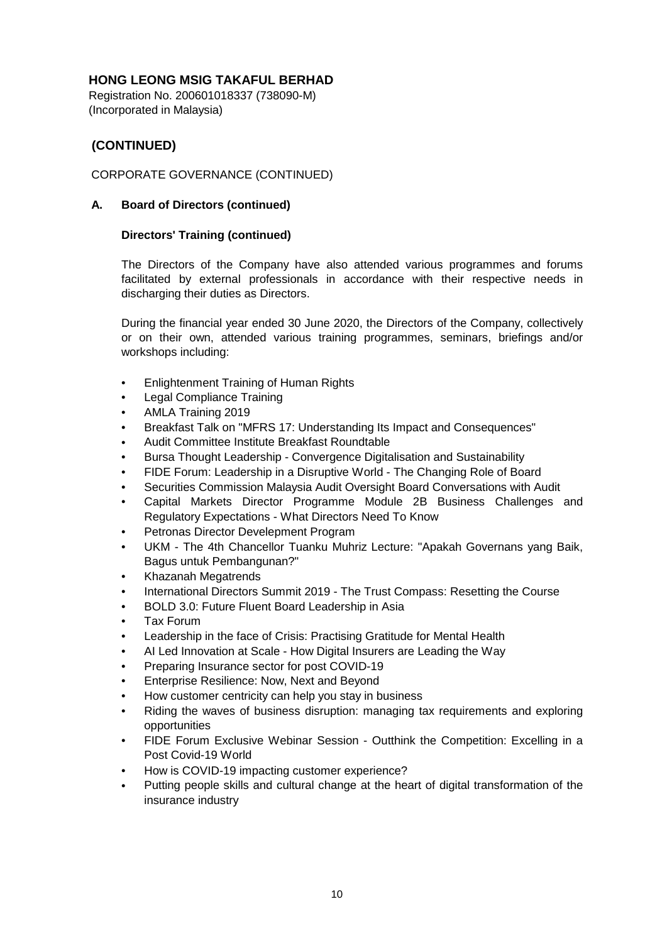Registration No. 200601018337 (738090-M) (Incorporated in Malaysia)

# **(CONTINUED)**

## CORPORATE GOVERNANCE (CONTINUED)

### **A. Board of Directors (continued)**

### **Directors' Training (continued)**

The Directors of the Company have also attended various programmes and forums facilitated by external professionals in accordance with their respective needs in discharging their duties as Directors.

During the financial year ended 30 June 2020, the Directors of the Company, collectively or on their own, attended various training programmes, seminars, briefings and/or workshops including:

- Enlightenment Training of Human Rights
- Legal Compliance Training
- AMLA Training 2019
- Breakfast Talk on "MFRS 17: Understanding Its Impact and Consequences"
- Audit Committee Institute Breakfast Roundtable
- Bursa Thought Leadership - Convergence Digitalisation and Sustainability
- FIDE Forum: Leadership in a Disruptive World - The Changing Role of Board
- Securities Commission Malaysia Audit Oversight Board Conversations with Audit
- Capital Markets Director Programme Module 2B Business Challenges and Regulatory Expectations - What Directors Need To Know
- Petronas Director Develepment Program
- UKM - The 4th Chancellor Tuanku Muhriz Lecture: "Apakah Governans yang Baik, Bagus untuk Pembangunan?"
- Khazanah Megatrends
- International Directors Summit 2019 - The Trust Compass: Resetting the Course
- BOLD 3.0: Future Fluent Board Leadership in Asia
- Tax Forum
- Leadership in the face of Crisis: Practising Gratitude for Mental Health
- AI Led Innovation at Scale - How Digital Insurers are Leading the Way
- Preparing Insurance sector for post COVID-19
- Enterprise Resilience: Now, Next and Beyond
- How customer centricity can help you stay in business
- Riding the waves of business disruption: managing tax requirements and exploring opportunities
- FIDE Forum Exclusive Webinar Session - Outthink the Competition: Excelling in a Post Covid-19 World
- How is COVID-19 impacting customer experience?
- Putting people skills and cultural change at the heart of digital transformation of the insurance industry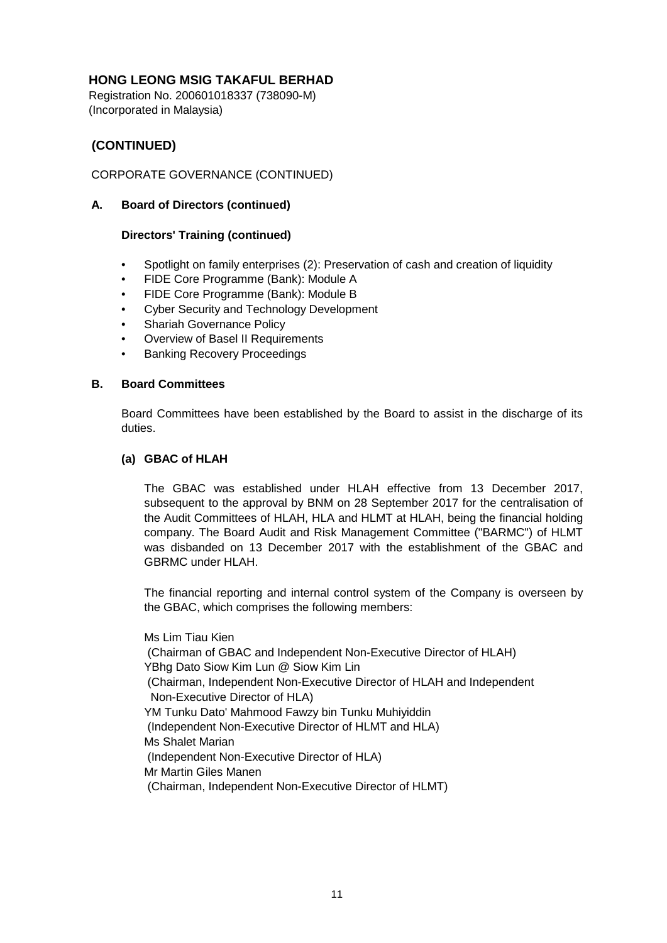Registration No. 200601018337 (738090-M) (Incorporated in Malaysia)

# **(CONTINUED)**

# CORPORATE GOVERNANCE (CONTINUED)

### **A. Board of Directors (continued)**

### **Directors' Training (continued)**

- Spotlight on family enterprises (2): Preservation of cash and creation of liquidity
- FIDE Core Programme (Bank): Module A
- FIDE Core Programme (Bank): Module B
- Cyber Security and Technology Development
- Shariah Governance Policy
- Overview of Basel II Requirements
- Banking Recovery Proceedings

### **B. Board Committees**

Board Committees have been established by the Board to assist in the discharge of its duties.

### **(a) GBAC of HLAH**

The GBAC was established under HLAH effective from 13 December 2017, subsequent to the approval by BNM on 28 September 2017 for the centralisation of the Audit Committees of HLAH, HLA and HLMT at HLAH, being the financial holding company. The Board Audit and Risk Management Committee ("BARMC") of HLMT was disbanded on 13 December 2017 with the establishment of the GBAC and GBRMC under HLAH.

The financial reporting and internal control system of the Company is overseen by the GBAC, which comprises the following members:

Mr Martin Giles Manen Ms Shalet Marian YM Tunku Dato' Mahmood Fawzy bin Tunku Muhiyiddin YBhg Dato Siow Kim Lun @ Siow Kim Lin Ms Lim Tiau Kien (Chairman of GBAC and Independent Non-Executive Director of HLAH) (Chairman, Independent Non-Executive Director of HLAH and Independent Non-Executive Director of HLA) (Independent Non-Executive Director of HLMT and HLA) (Independent Non-Executive Director of HLA) (Chairman, Independent Non-Executive Director of HLMT)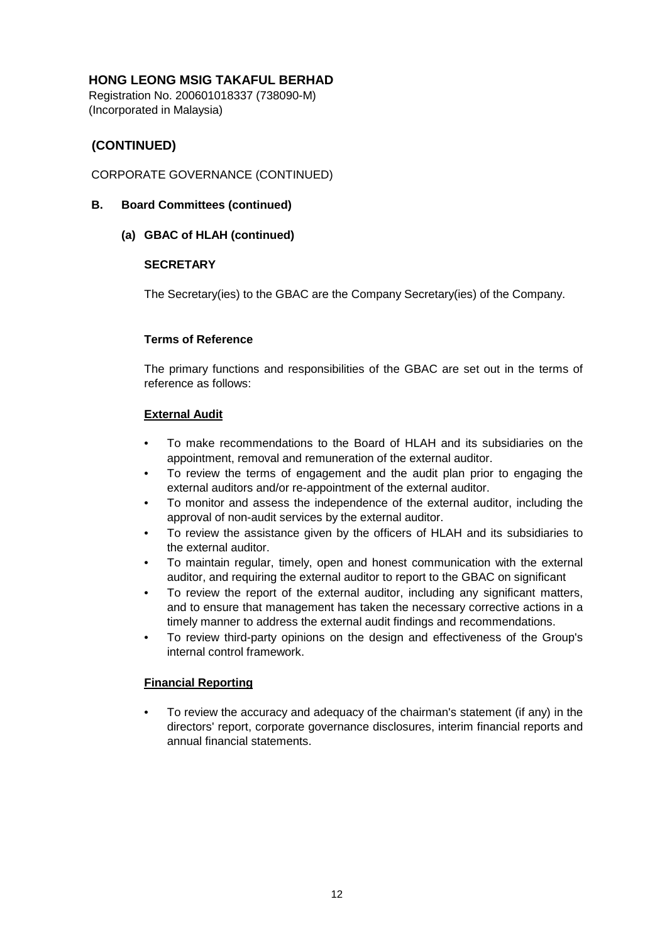Registration No. 200601018337 (738090-M) (Incorporated in Malaysia)

# **(CONTINUED)**

## CORPORATE GOVERNANCE (CONTINUED)

### **B. Board Committees (continued)**

### **(a) GBAC of HLAH (continued)**

### **SECRETARY**

The Secretary(ies) to the GBAC are the Company Secretary(ies) of the Company.

### **Terms of Reference**

The primary functions and responsibilities of the GBAC are set out in the terms of reference as follows:

### **External Audit**

- To make recommendations to the Board of HLAH and its subsidiaries on the appointment, removal and remuneration of the external auditor.
- To review the terms of engagement and the audit plan prior to engaging the external auditors and/or re-appointment of the external auditor.
- To monitor and assess the independence of the external auditor, including the approval of non-audit services by the external auditor.
- To review the assistance given by the officers of HLAH and its subsidiaries to the external auditor.
- To maintain regular, timely, open and honest communication with the external auditor, and requiring the external auditor to report to the GBAC on significant
- To review the report of the external auditor, including any significant matters, and to ensure that management has taken the necessary corrective actions in a timely manner to address the external audit findings and recommendations.
- To review third-party opinions on the design and effectiveness of the Group's internal control framework.

### **Financial Reporting**

• To review the accuracy and adequacy of the chairman's statement (if any) in the directors' report, corporate governance disclosures, interim financial reports and annual financial statements.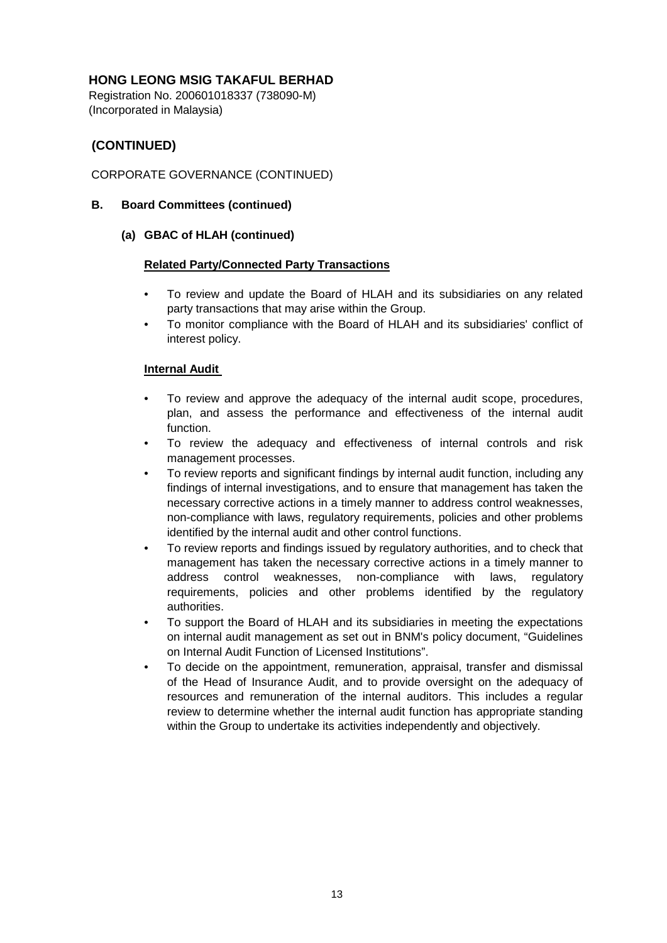Registration No. 200601018337 (738090-M) (Incorporated in Malaysia)

# **(CONTINUED)**

# CORPORATE GOVERNANCE (CONTINUED)

### **B. Board Committees (continued)**

**(a) GBAC of HLAH (continued)**

### **Related Party/Connected Party Transactions**

- To review and update the Board of HLAH and its subsidiaries on any related party transactions that may arise within the Group.
- To monitor compliance with the Board of HLAH and its subsidiaries' conflict of interest policy.

### **Internal Audit**

- To review and approve the adequacy of the internal audit scope, procedures, plan, and assess the performance and effectiveness of the internal audit function.
- To review the adequacy and effectiveness of internal controls and risk management processes.
- To review reports and significant findings by internal audit function, including any findings of internal investigations, and to ensure that management has taken the necessary corrective actions in a timely manner to address control weaknesses, non-compliance with laws, regulatory requirements, policies and other problems identified by the internal audit and other control functions.
- To review reports and findings issued by regulatory authorities, and to check that management has taken the necessary corrective actions in a timely manner to address control weaknesses, non-compliance with laws, regulatory requirements, policies and other problems identified by the regulatory authorities.
- To support the Board of HLAH and its subsidiaries in meeting the expectations on internal audit management as set out in BNM's policy document, "Guidelines on Internal Audit Function of Licensed Institutions".
- To decide on the appointment, remuneration, appraisal, transfer and dismissal of the Head of Insurance Audit, and to provide oversight on the adequacy of resources and remuneration of the internal auditors. This includes a regular review to determine whether the internal audit function has appropriate standing within the Group to undertake its activities independently and objectively.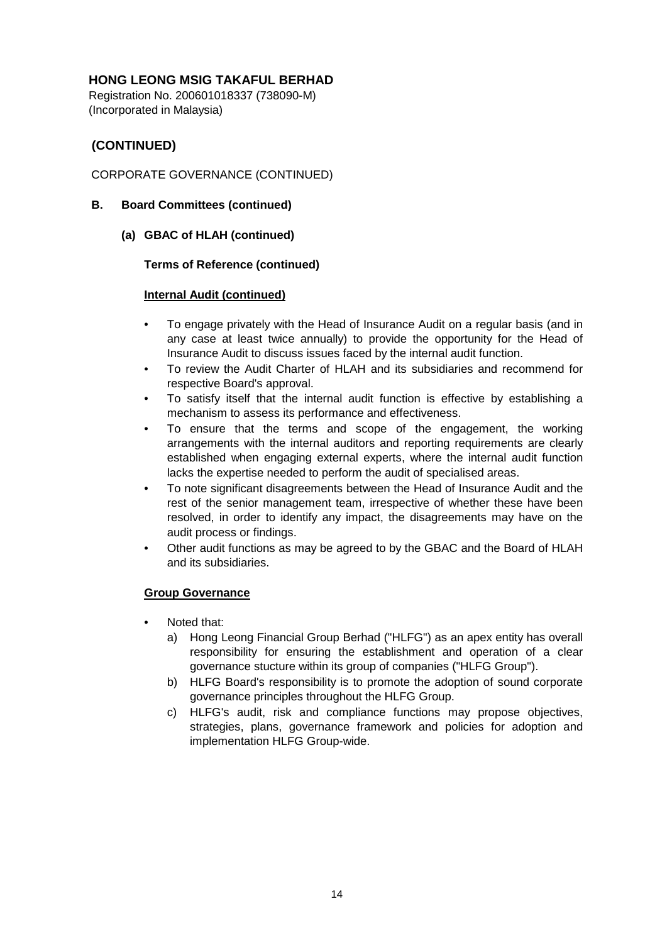Registration No. 200601018337 (738090-M) (Incorporated in Malaysia)

# **(CONTINUED)**

# CORPORATE GOVERNANCE (CONTINUED)

### **B. Board Committees (continued)**

**(a) GBAC of HLAH (continued)**

### **Terms of Reference (continued)**

### **Internal Audit (continued)**

- To engage privately with the Head of Insurance Audit on a regular basis (and in any case at least twice annually) to provide the opportunity for the Head of Insurance Audit to discuss issues faced by the internal audit function.
- To review the Audit Charter of HLAH and its subsidiaries and recommend for respective Board's approval.
- To satisfy itself that the internal audit function is effective by establishing a mechanism to assess its performance and effectiveness.
- To ensure that the terms and scope of the engagement, the working arrangements with the internal auditors and reporting requirements are clearly established when engaging external experts, where the internal audit function lacks the expertise needed to perform the audit of specialised areas.
- To note significant disagreements between the Head of Insurance Audit and the rest of the senior management team, irrespective of whether these have been resolved, in order to identify any impact, the disagreements may have on the audit process or findings.
- Other audit functions as may be agreed to by the GBAC and the Board of HLAH and its subsidiaries.

### **Group Governance**

- Noted that:
	- a) Hong Leong Financial Group Berhad ("HLFG") as an apex entity has overall responsibility for ensuring the establishment and operation of a clear governance stucture within its group of companies ("HLFG Group").
	- b) HLFG Board's responsibility is to promote the adoption of sound corporate governance principles throughout the HLFG Group.
	- c) HLFG's audit, risk and compliance functions may propose objectives, strategies, plans, governance framework and policies for adoption and implementation HLFG Group-wide.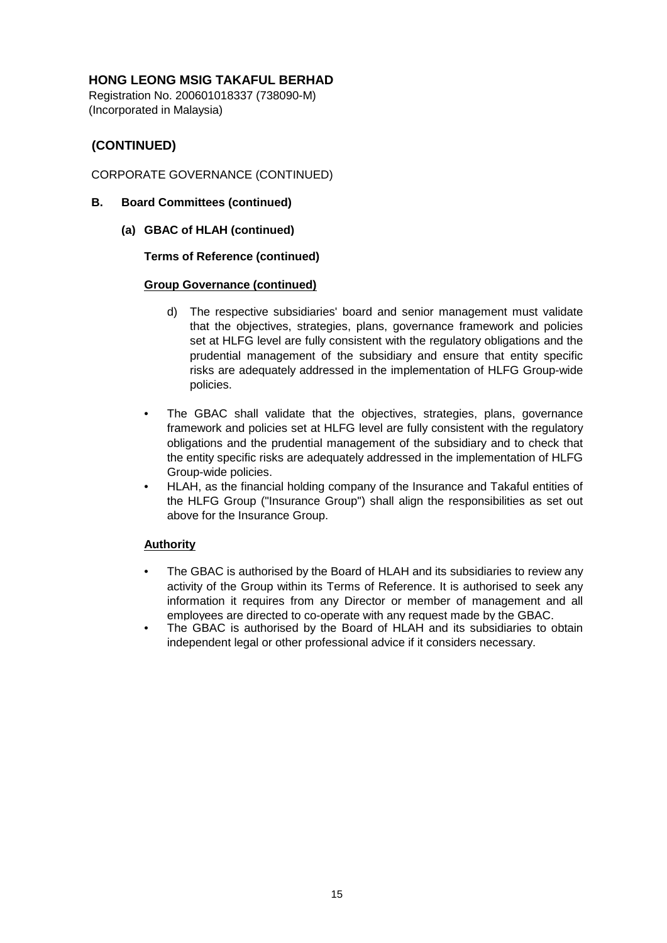Registration No. 200601018337 (738090-M) (Incorporated in Malaysia)

# **(CONTINUED)**

# CORPORATE GOVERNANCE (CONTINUED)

- **B. Board Committees (continued)**
	- **(a) GBAC of HLAH (continued)**

### **Terms of Reference (continued)**

### **Group Governance (continued)**

- d) The respective subsidiaries' board and senior management must validate that the objectives, strategies, plans, governance framework and policies set at HLFG level are fully consistent with the regulatory obligations and the prudential management of the subsidiary and ensure that entity specific risks are adequately addressed in the implementation of HLFG Group-wide policies.
- The GBAC shall validate that the objectives, strategies, plans, governance framework and policies set at HLFG level are fully consistent with the regulatory obligations and the prudential management of the subsidiary and to check that the entity specific risks are adequately addressed in the implementation of HLFG Group-wide policies.
- HLAH, as the financial holding company of the Insurance and Takaful entities of the HLFG Group ("Insurance Group") shall align the responsibilities as set out above for the Insurance Group.

### **Authority**

- The GBAC is authorised by the Board of HLAH and its subsidiaries to review any activity of the Group within its Terms of Reference. It is authorised to seek any information it requires from any Director or member of management and all employees are directed to co-operate with any request made by the GBAC.
- The GBAC is authorised by the Board of HLAH and its subsidiaries to obtain independent legal or other professional advice if it considers necessary.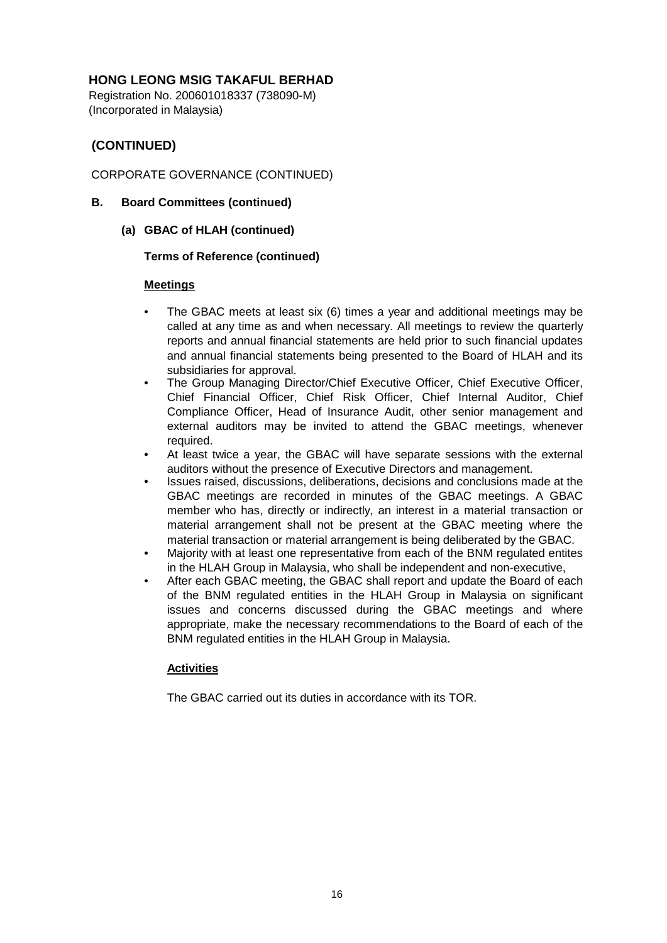Registration No. 200601018337 (738090-M) (Incorporated in Malaysia)

# **(CONTINUED)**

# CORPORATE GOVERNANCE (CONTINUED)

### **B. Board Committees (continued)**

**(a) GBAC of HLAH (continued)**

### **Terms of Reference (continued)**

### **Meetings**

- The GBAC meets at least six (6) times a year and additional meetings may be called at any time as and when necessary. All meetings to review the quarterly reports and annual financial statements are held prior to such financial updates and annual financial statements being presented to the Board of HLAH and its subsidiaries for approval.
- The Group Managing Director/Chief Executive Officer, Chief Executive Officer, Chief Financial Officer, Chief Risk Officer, Chief Internal Auditor, Chief Compliance Officer, Head of Insurance Audit, other senior management and external auditors may be invited to attend the GBAC meetings, whenever required.
- At least twice a year, the GBAC will have separate sessions with the external auditors without the presence of Executive Directors and management.
- Issues raised, discussions, deliberations, decisions and conclusions made at the GBAC meetings are recorded in minutes of the GBAC meetings. A GBAC member who has, directly or indirectly, an interest in a material transaction or material arrangement shall not be present at the GBAC meeting where the material transaction or material arrangement is being deliberated by the GBAC.
- Majority with at least one representative from each of the BNM regulated entites in the HLAH Group in Malaysia, who shall be independent and non-executive,
- After each GBAC meeting, the GBAC shall report and update the Board of each of the BNM regulated entities in the HLAH Group in Malaysia on significant issues and concerns discussed during the GBAC meetings and where appropriate, make the necessary recommendations to the Board of each of the BNM regulated entities in the HLAH Group in Malaysia.

# **Activities**

The GBAC carried out its duties in accordance with its TOR.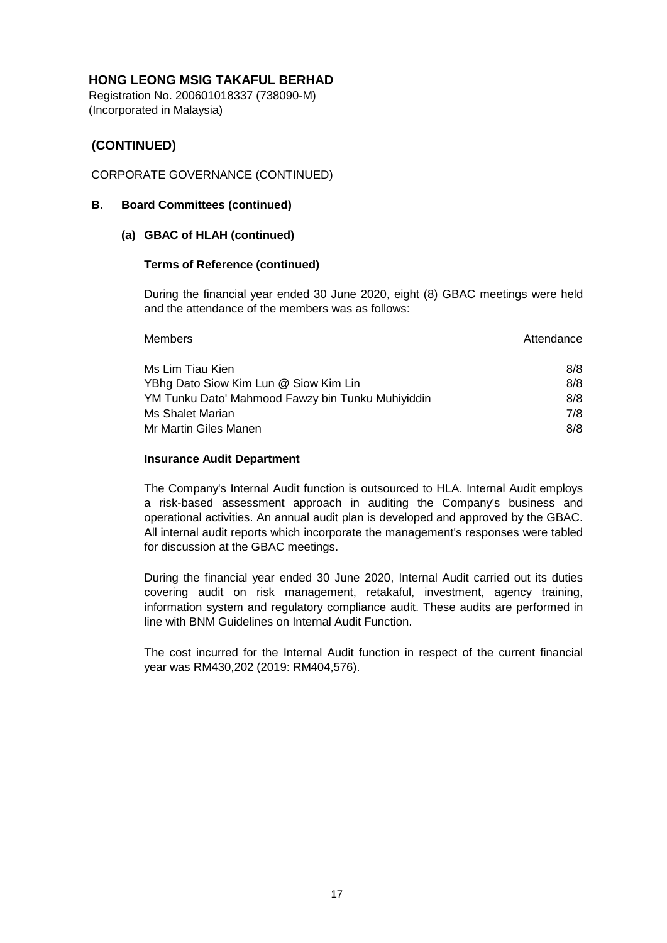Registration No. 200601018337 (738090-M) (Incorporated in Malaysia)

# **(CONTINUED)**

### CORPORATE GOVERNANCE (CONTINUED)

### **B. Board Committees (continued)**

### **(a) GBAC of HLAH (continued)**

### **Terms of Reference (continued)**

During the financial year ended 30 June 2020, eight (8) GBAC meetings were held and the attendance of the members was as follows:

| <b>Members</b>                                    | Attendance |
|---------------------------------------------------|------------|
| Ms Lim Tiau Kien                                  | 8/8        |
| YBhg Dato Siow Kim Lun @ Siow Kim Lin             | 8/8        |
| YM Tunku Dato' Mahmood Fawzy bin Tunku Muhiyiddin | 8/8        |
| Ms Shalet Marian                                  | 7/8        |
| Mr Martin Giles Manen                             | 8/8        |

### **Insurance Audit Department**

The Company's Internal Audit function is outsourced to HLA. Internal Audit employs a risk-based assessment approach in auditing the Company's business and operational activities. An annual audit plan is developed and approved by the GBAC. All internal audit reports which incorporate the management's responses were tabled for discussion at the GBAC meetings.

During the financial year ended 30 June 2020, Internal Audit carried out its duties covering audit on risk management, retakaful, investment, agency training, information system and regulatory compliance audit. These audits are performed in line with BNM Guidelines on Internal Audit Function.

The cost incurred for the Internal Audit function in respect of the current financial year was RM430,202 (2019: RM404,576).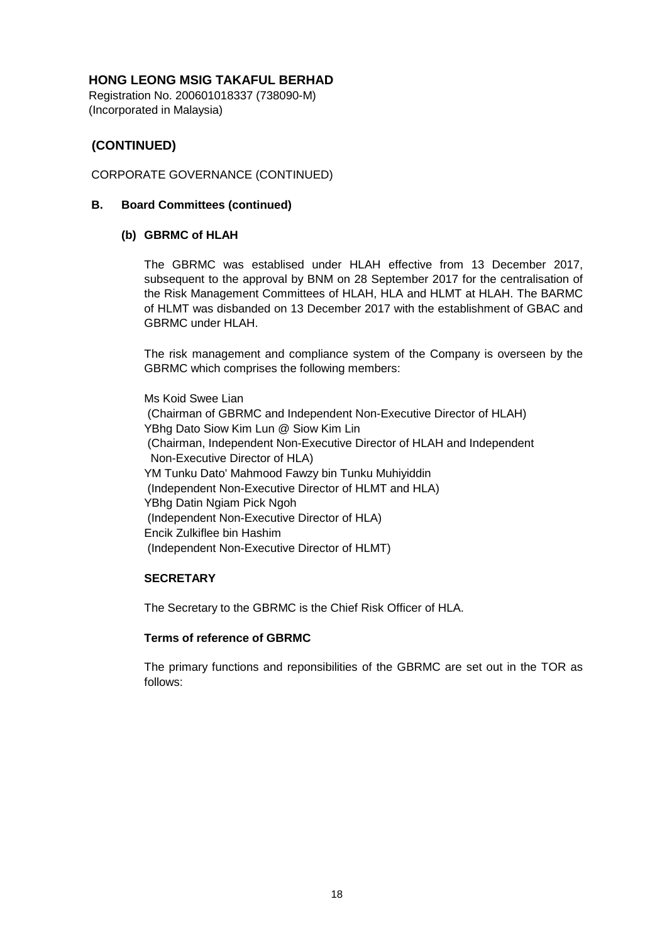Registration No. 200601018337 (738090-M) (Incorporated in Malaysia)

# **(CONTINUED)**

### CORPORATE GOVERNANCE (CONTINUED)

### **B. Board Committees (continued)**

### **(b) GBRMC of HLAH**

The GBRMC was establised under HLAH effective from 13 December 2017, subsequent to the approval by BNM on 28 September 2017 for the centralisation of the Risk Management Committees of HLAH, HLA and HLMT at HLAH. The BARMC of HLMT was disbanded on 13 December 2017 with the establishment of GBAC and GBRMC under HLAH.

The risk management and compliance system of the Company is overseen by the GBRMC which comprises the following members:

Ms Koid Swee Lian (Chairman of GBRMC and Independent Non-Executive Director of HLAH) YBhg Dato Siow Kim Lun @ Siow Kim Lin (Chairman, Independent Non-Executive Director of HLAH and Independent Non-Executive Director of HLA) YM Tunku Dato' Mahmood Fawzy bin Tunku Muhiyiddin (Independent Non-Executive Director of HLMT and HLA) YBhg Datin Ngiam Pick Ngoh (Independent Non-Executive Director of HLA) Encik Zulkiflee bin Hashim (Independent Non-Executive Director of HLMT)

### **SECRETARY**

The Secretary to the GBRMC is the Chief Risk Officer of HLA.

### **Terms of reference of GBRMC**

The primary functions and reponsibilities of the GBRMC are set out in the TOR as follows: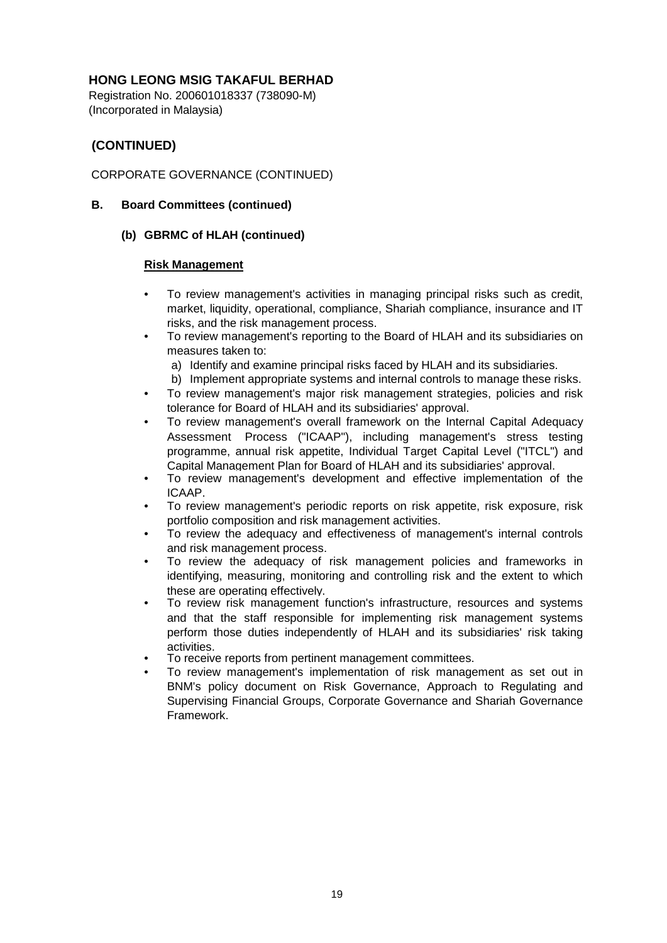Registration No. 200601018337 (738090-M) (Incorporated in Malaysia)

# **(CONTINUED)**

# CORPORATE GOVERNANCE (CONTINUED)

### **B. Board Committees (continued)**

### **(b) GBRMC of HLAH (continued)**

### **Risk Management**

- To review management's activities in managing principal risks such as credit, market, liquidity, operational, compliance, Shariah compliance, insurance and IT risks, and the risk management process.
- To review management's reporting to the Board of HLAH and its subsidiaries on measures taken to:
	- a) Identify and examine principal risks faced by HLAH and its subsidiaries.
	- b) Implement appropriate systems and internal controls to manage these risks.
- To review management's major risk management strategies, policies and risk tolerance for Board of HLAH and its subsidiaries' approval.
- To review management's overall framework on the Internal Capital Adequacy Assessment Process ("ICAAP"), including management's stress testing programme, annual risk appetite, Individual Target Capital Level ("ITCL") and Capital Management Plan for Board of HLAH and its subsidiaries' approval.
- To review management's development and effective implementation of the ICAAP.
- To review management's periodic reports on risk appetite, risk exposure, risk portfolio composition and risk management activities.
- To review the adequacy and effectiveness of management's internal controls and risk management process.
- To review the adequacy of risk management policies and frameworks in identifying, measuring, monitoring and controlling risk and the extent to which these are operating effectively.
- To review risk management function's infrastructure, resources and systems and that the staff responsible for implementing risk management systems perform those duties independently of HLAH and its subsidiaries' risk taking activities.
- To receive reports from pertinent management committees.
- To review management's implementation of risk management as set out in BNM's policy document on Risk Governance, Approach to Regulating and Supervising Financial Groups, Corporate Governance and Shariah Governance Framework.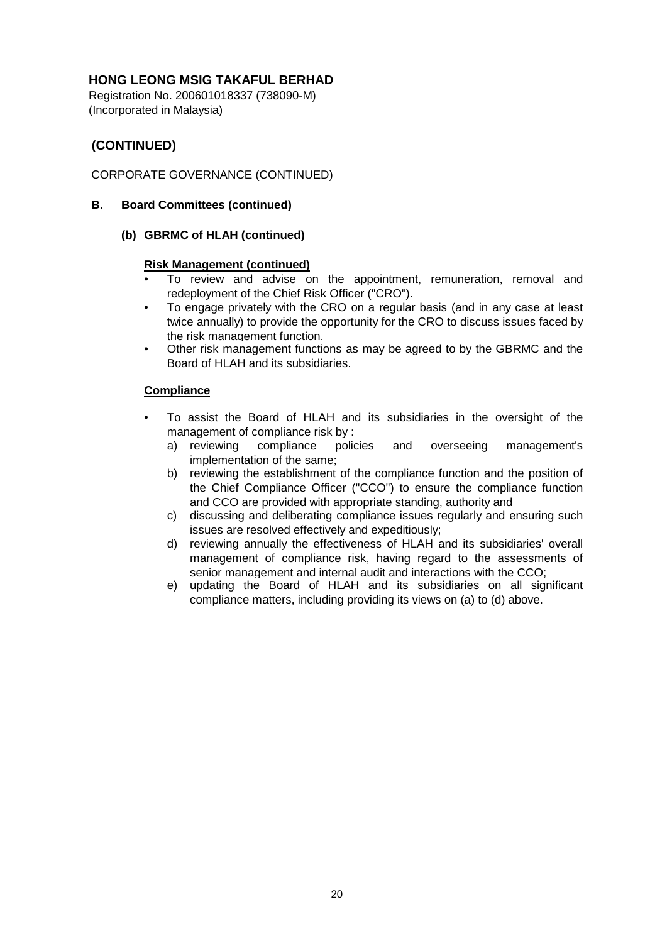Registration No. 200601018337 (738090-M) (Incorporated in Malaysia)

# **(CONTINUED)**

# CORPORATE GOVERNANCE (CONTINUED)

### **B. Board Committees (continued)**

### **(b) GBRMC of HLAH (continued)**

### **Risk Management (continued)**

- To review and advise on the appointment, remuneration, removal and redeployment of the Chief Risk Officer ("CRO").
- To engage privately with the CRO on a regular basis (and in any case at least twice annually) to provide the opportunity for the CRO to discuss issues faced by the risk management function.
- Other risk management functions as may be agreed to by the GBRMC and the Board of HLAH and its subsidiaries.

### **Compliance**

- To assist the Board of HLAH and its subsidiaries in the oversight of the management of compliance risk by :
	- a) reviewing compliance policies and overseeing management's implementation of the same;
	- b) reviewing the establishment of the compliance function and the position of the Chief Compliance Officer ("CCO") to ensure the compliance function and CCO are provided with appropriate standing, authority and
	- c) discussing and deliberating compliance issues regularly and ensuring such issues are resolved effectively and expeditiously;
	- d) reviewing annually the effectiveness of HLAH and its subsidiaries' overall management of compliance risk, having regard to the assessments of senior management and internal audit and interactions with the CCO;
	- e) updating the Board of HLAH and its subsidiaries on all significant compliance matters, including providing its views on (a) to (d) above.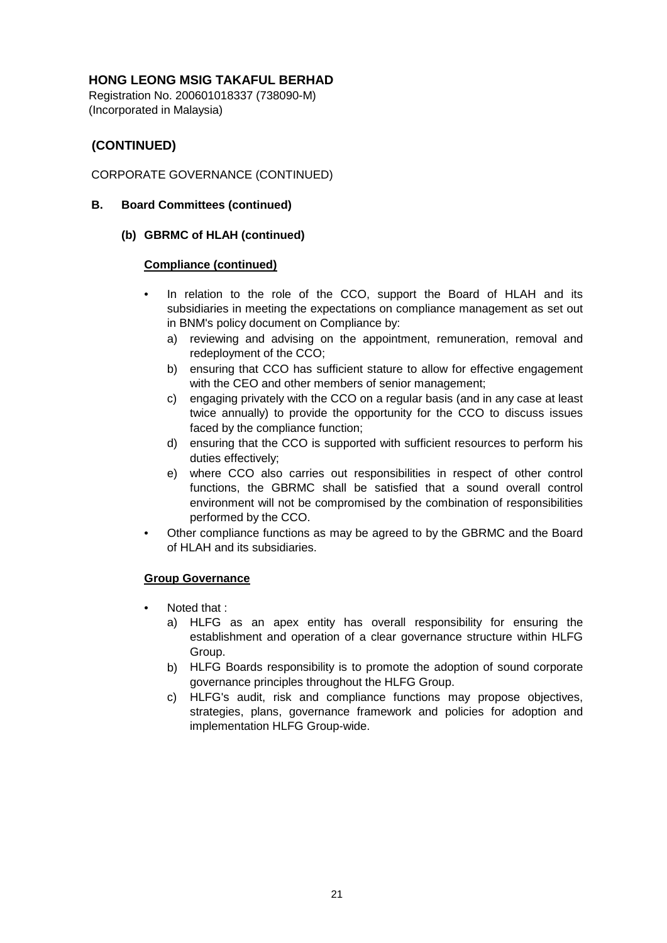Registration No. 200601018337 (738090-M) (Incorporated in Malaysia)

# **(CONTINUED)**

# CORPORATE GOVERNANCE (CONTINUED)

### **B. Board Committees (continued)**

### **(b) GBRMC of HLAH (continued)**

### **Compliance (continued)**

- In relation to the role of the CCO, support the Board of HLAH and its subsidiaries in meeting the expectations on compliance management as set out in BNM's policy document on Compliance by:
	- a) reviewing and advising on the appointment, remuneration, removal and redeployment of the CCO;
	- b) ensuring that CCO has sufficient stature to allow for effective engagement with the CEO and other members of senior management;
	- c) engaging privately with the CCO on a regular basis (and in any case at least twice annually) to provide the opportunity for the CCO to discuss issues faced by the compliance function;
	- d) ensuring that the CCO is supported with sufficient resources to perform his duties effectively;
	- e) where CCO also carries out responsibilities in respect of other control functions, the GBRMC shall be satisfied that a sound overall control environment will not be compromised by the combination of responsibilities performed by the CCO.
- Other compliance functions as may be agreed to by the GBRMC and the Board of HLAH and its subsidiaries.

### **Group Governance**

- Noted that :
	- a) HLFG as an apex entity has overall responsibility for ensuring the establishment and operation of a clear governance structure within HLFG Group.
	- b) HLFG Boards responsibility is to promote the adoption of sound corporate governance principles throughout the HLFG Group.
	- c) HLFG's audit, risk and compliance functions may propose objectives, strategies, plans, governance framework and policies for adoption and implementation HLFG Group-wide.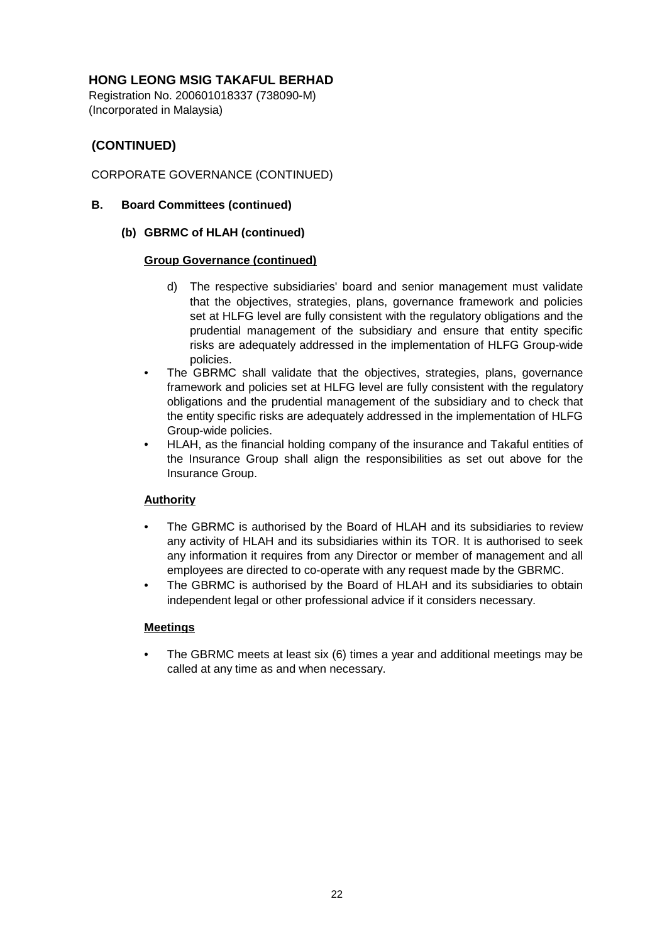Registration No. 200601018337 (738090-M) (Incorporated in Malaysia)

# **(CONTINUED)**

# CORPORATE GOVERNANCE (CONTINUED)

- **B. Board Committees (continued)**
	- **(b) GBRMC of HLAH (continued)**

### **Group Governance (continued)**

- d) The respective subsidiaries' board and senior management must validate that the objectives, strategies, plans, governance framework and policies set at HLFG level are fully consistent with the regulatory obligations and the prudential management of the subsidiary and ensure that entity specific risks are adequately addressed in the implementation of HLFG Group-wide policies.
- The GBRMC shall validate that the objectives, strategies, plans, governance framework and policies set at HLFG level are fully consistent with the regulatory obligations and the prudential management of the subsidiary and to check that the entity specific risks are adequately addressed in the implementation of HLFG Group-wide policies.
- HLAH, as the financial holding company of the insurance and Takaful entities of the Insurance Group shall align the responsibilities as set out above for the Insurance Group.

# **Authority**

- The GBRMC is authorised by the Board of HLAH and its subsidiaries to review any activity of HLAH and its subsidiaries within its TOR. It is authorised to seek any information it requires from any Director or member of management and all employees are directed to co-operate with any request made by the GBRMC.
- The GBRMC is authorised by the Board of HLAH and its subsidiaries to obtain independent legal or other professional advice if it considers necessary.

### **Meetings**

• The GBRMC meets at least six (6) times a year and additional meetings may be called at any time as and when necessary.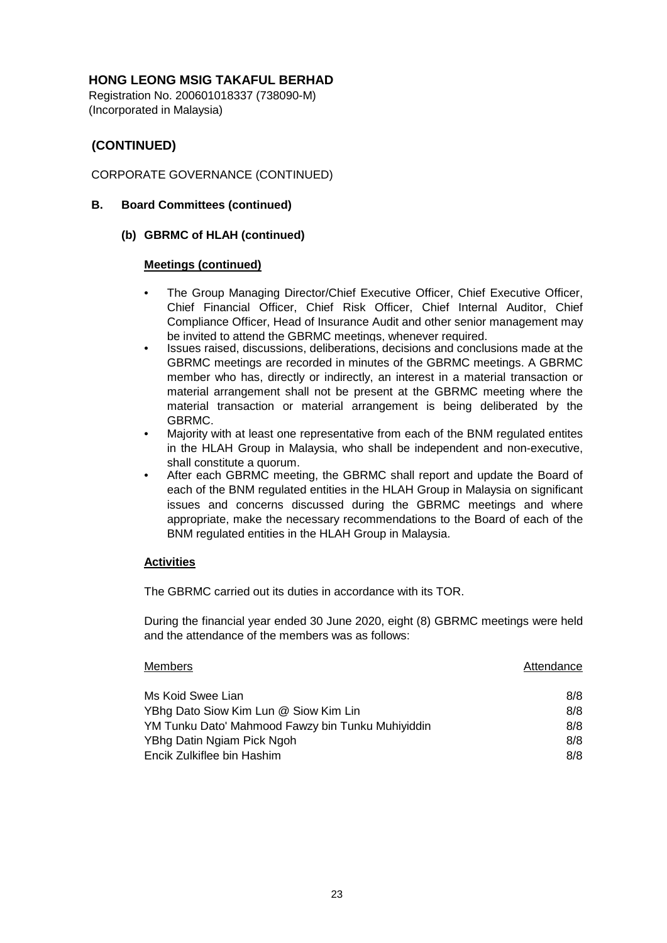Registration No. 200601018337 (738090-M) (Incorporated in Malaysia)

# **(CONTINUED)**

# CORPORATE GOVERNANCE (CONTINUED)

### **B. Board Committees (continued)**

### **(b) GBRMC of HLAH (continued)**

### **Meetings (continued)**

- The Group Managing Director/Chief Executive Officer, Chief Executive Officer, Chief Financial Officer, Chief Risk Officer, Chief Internal Auditor, Chief Compliance Officer, Head of Insurance Audit and other senior management may be invited to attend the GBRMC meetings, whenever required.
- Issues raised, discussions, deliberations, decisions and conclusions made at the GBRMC meetings are recorded in minutes of the GBRMC meetings. A GBRMC member who has, directly or indirectly, an interest in a material transaction or material arrangement shall not be present at the GBRMC meeting where the material transaction or material arrangement is being deliberated by the GBRMC.
- Majority with at least one representative from each of the BNM regulated entites in the HLAH Group in Malaysia, who shall be independent and non-executive, shall constitute a quorum.
- After each GBRMC meeting, the GBRMC shall report and update the Board of each of the BNM regulated entities in the HLAH Group in Malaysia on significant issues and concerns discussed during the GBRMC meetings and where appropriate, make the necessary recommendations to the Board of each of the BNM regulated entities in the HLAH Group in Malaysia.

### **Activities**

The GBRMC carried out its duties in accordance with its TOR.

During the financial year ended 30 June 2020, eight (8) GBRMC meetings were held and the attendance of the members was as follows:

| Members                                           | Attendance |
|---------------------------------------------------|------------|
| Ms Koid Swee Lian                                 | 8/8        |
| YBhg Dato Siow Kim Lun @ Siow Kim Lin             | 8/8        |
| YM Tunku Dato' Mahmood Fawzy bin Tunku Muhiyiddin | 8/8        |
| YBhg Datin Ngiam Pick Ngoh                        | 8/8        |
| Encik Zulkiflee bin Hashim                        | 8/8        |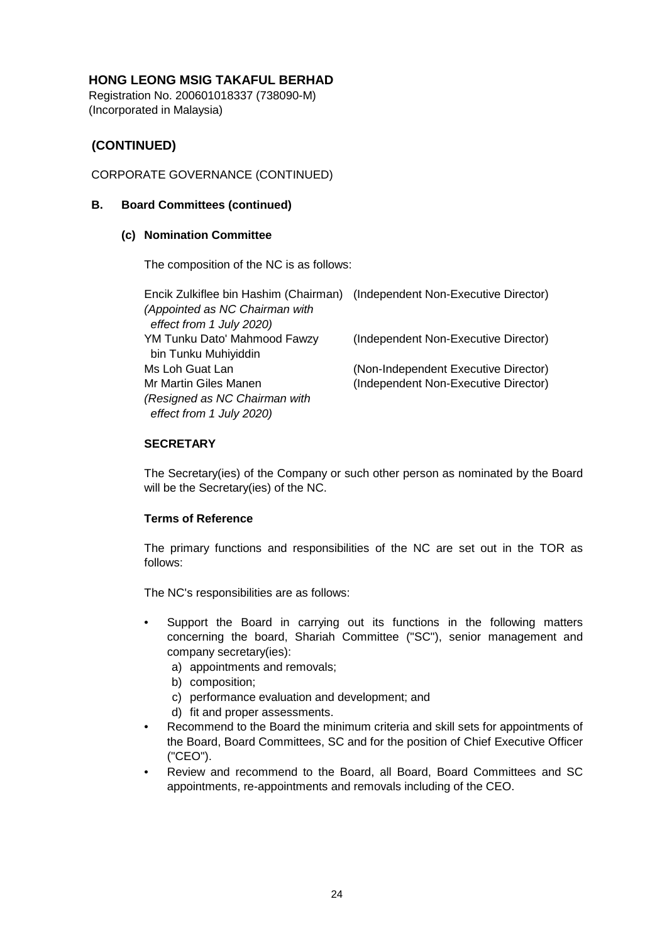Registration No. 200601018337 (738090-M) (Incorporated in Malaysia)

# **(CONTINUED)**

# CORPORATE GOVERNANCE (CONTINUED)

### **B. Board Committees (continued)**

### **(c) Nomination Committee**

The composition of the NC is as follows:

| Encik Zulkiflee bin Hashim (Chairman) (Independent Non-Executive Director)<br>(Appointed as NC Chairman with |                                      |
|--------------------------------------------------------------------------------------------------------------|--------------------------------------|
| effect from 1 July 2020)                                                                                     |                                      |
| YM Tunku Dato' Mahmood Fawzy<br>bin Tunku Muhiyiddin                                                         | (Independent Non-Executive Director) |
| Ms Loh Guat Lan                                                                                              | (Non-Independent Executive Director) |
| Mr Martin Giles Manen                                                                                        | (Independent Non-Executive Director) |
| (Resigned as NC Chairman with<br>effect from 1 July 2020)                                                    |                                      |

### **SECRETARY**

The Secretary(ies) of the Company or such other person as nominated by the Board will be the Secretary(ies) of the NC.

### **Terms of Reference**

The primary functions and responsibilities of the NC are set out in the TOR as follows:

The NC's responsibilities are as follows:

- Support the Board in carrying out its functions in the following matters concerning the board, Shariah Committee ("SC"), senior management and company secretary(ies):
	- a) appointments and removals;
	- b) composition;
	- c) performance evaluation and development; and
	- d) fit and proper assessments.
- Recommend to the Board the minimum criteria and skill sets for appointments of the Board, Board Committees, SC and for the position of Chief Executive Officer ("CEO").
- Review and recommend to the Board, all Board, Board Committees and SC appointments, re-appointments and removals including of the CEO.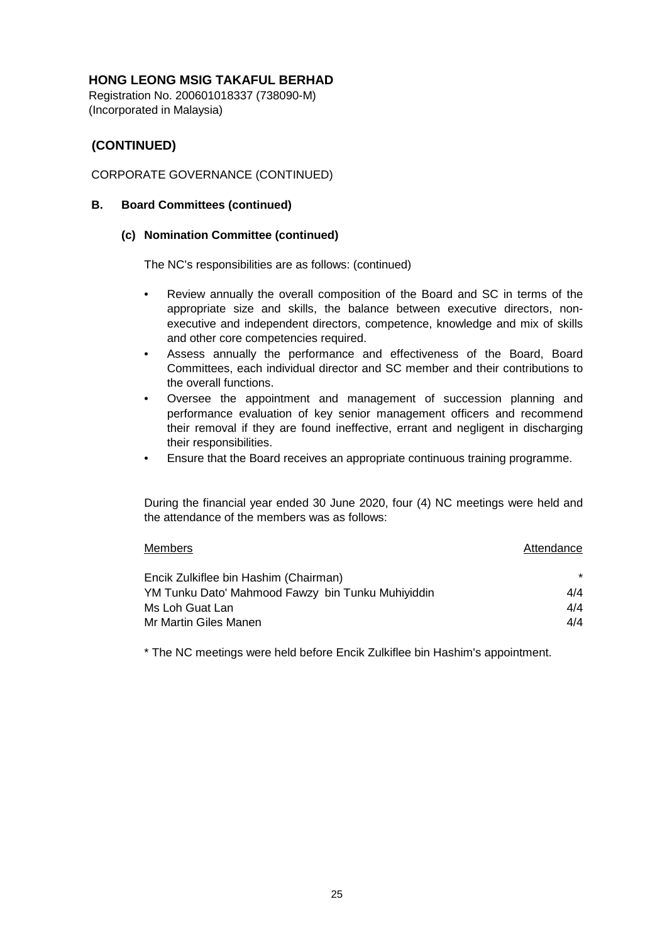Registration No. 200601018337 (738090-M) (Incorporated in Malaysia)

# **(CONTINUED)**

## CORPORATE GOVERNANCE (CONTINUED)

### **B. Board Committees (continued)**

### **(c) Nomination Committee (continued)**

The NC's responsibilities are as follows: (continued)

- Review annually the overall composition of the Board and SC in terms of the appropriate size and skills, the balance between executive directors, nonexecutive and independent directors, competence, knowledge and mix of skills and other core competencies required.
- Assess annually the performance and effectiveness of the Board, Board Committees, each individual director and SC member and their contributions to the overall functions.
- Oversee the appointment and management of succession planning and performance evaluation of key senior management officers and recommend their removal if they are found ineffective, errant and negligent in discharging their responsibilities.
- Ensure that the Board receives an appropriate continuous training programme.

During the financial year ended 30 June 2020, four (4) NC meetings were held and the attendance of the members was as follows:

| <b>Members</b>                                    | Attendance |
|---------------------------------------------------|------------|
| Encik Zulkiflee bin Hashim (Chairman)             | $\star$    |
| YM Tunku Dato' Mahmood Fawzy bin Tunku Muhiyiddin | 4/4        |
| Ms Loh Guat Lan                                   | 4/4        |
| Mr Martin Giles Manen                             | 4/4        |

\* The NC meetings were held before Encik Zulkiflee bin Hashim's appointment.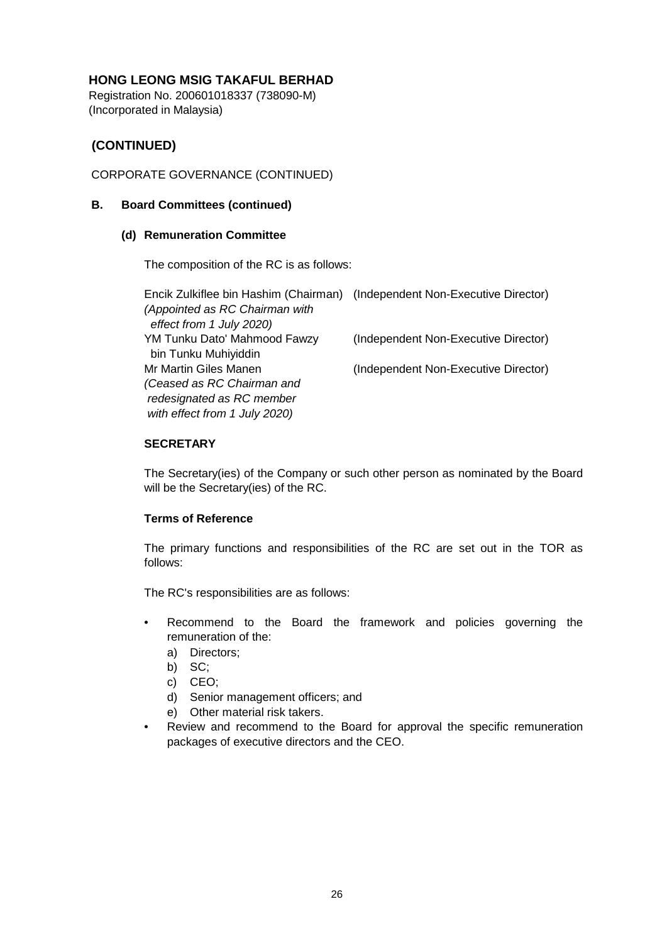Registration No. 200601018337 (738090-M) (Incorporated in Malaysia)

# **(CONTINUED)**

# CORPORATE GOVERNANCE (CONTINUED)

### **B. Board Committees (continued)**

#### **(d) Remuneration Committee**

The composition of the RC is as follows:

| Encik Zulkiflee bin Hashim (Chairman) (Independent Non-Executive Director) |                                      |
|----------------------------------------------------------------------------|--------------------------------------|
| (Appointed as RC Chairman with                                             |                                      |
| effect from 1 July 2020)                                                   |                                      |
| YM Tunku Dato' Mahmood Fawzy                                               | (Independent Non-Executive Director) |
| bin Tunku Muhiyiddin                                                       |                                      |
| Mr Martin Giles Manen                                                      | (Independent Non-Executive Director) |
| (Ceased as RC Chairman and                                                 |                                      |
| redesignated as RC member                                                  |                                      |
| with effect from 1 July 2020)                                              |                                      |

### **SECRETARY**

The Secretary(ies) of the Company or such other person as nominated by the Board will be the Secretary(ies) of the RC.

### **Terms of Reference**

The primary functions and responsibilities of the RC are set out in the TOR as follows:

The RC's responsibilities are as follows:

- Recommend to the Board the framework and policies governing the remuneration of the:
	- a) Directors;
	- b) SC;
	- c) CEO;
	- d) Senior management officers; and
	- e) Other material risk takers.
- Review and recommend to the Board for approval the specific remuneration packages of executive directors and the CEO.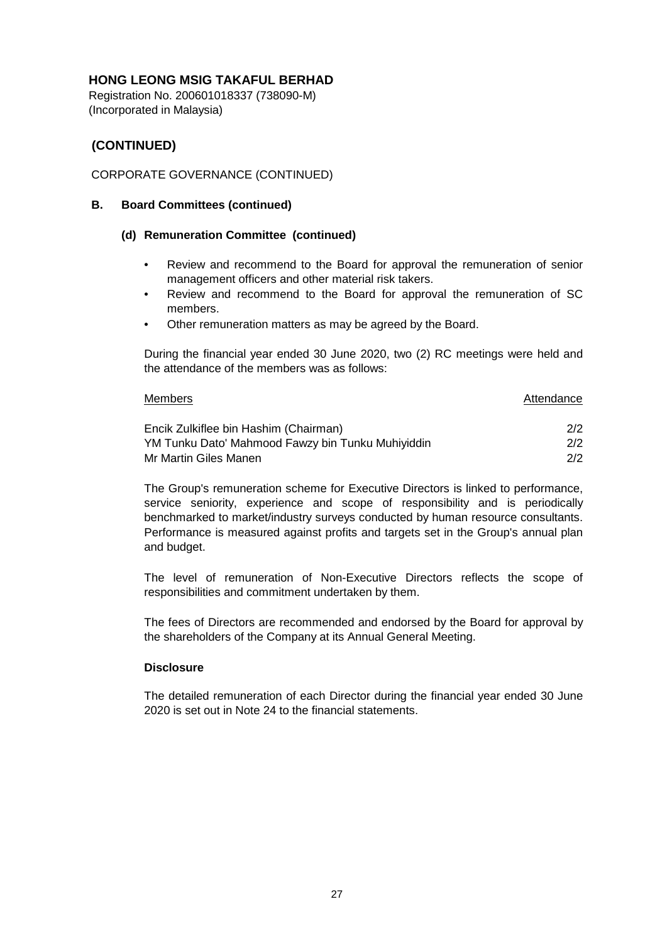Registration No. 200601018337 (738090-M) (Incorporated in Malaysia)

# **(CONTINUED)**

# CORPORATE GOVERNANCE (CONTINUED)

### **B. Board Committees (continued)**

### **(d) Remuneration Committee (continued)**

- Review and recommend to the Board for approval the remuneration of senior management officers and other material risk takers.
- Review and recommend to the Board for approval the remuneration of SC members.
- Other remuneration matters as may be agreed by the Board.

During the financial year ended 30 June 2020, two (2) RC meetings were held and the attendance of the members was as follows:

# Members Encik Zulkiflee bin Hashim (Chairman) 2/2 YM Tunku Dato' Mahmood Fawzy bin Tunku Muhiyiddin 2/2 Mr Martin Giles Manen 2/2 Attendance

The Group's remuneration scheme for Executive Directors is linked to performance, service seniority, experience and scope of responsibility and is periodically benchmarked to market/industry surveys conducted by human resource consultants. Performance is measured against profits and targets set in the Group's annual plan and budget.

The level of remuneration of Non-Executive Directors reflects the scope of responsibilities and commitment undertaken by them.

The fees of Directors are recommended and endorsed by the Board for approval by the shareholders of the Company at its Annual General Meeting.

### **Disclosure**

The detailed remuneration of each Director during the financial year ended 30 June 2020 is set out in Note 24 to the financial statements.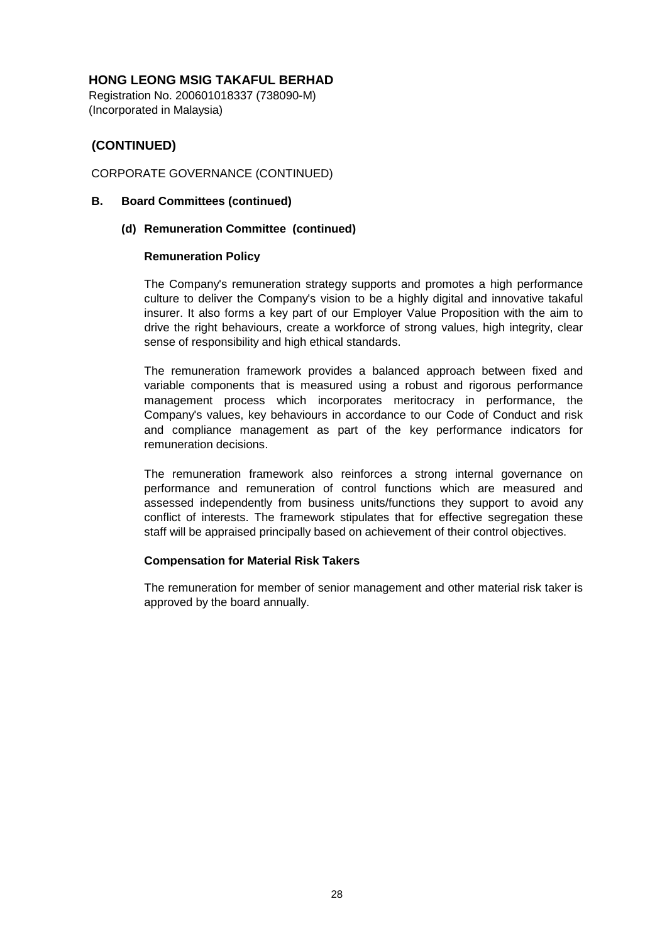Registration No. 200601018337 (738090-M) (Incorporated in Malaysia)

# **(CONTINUED)**

### CORPORATE GOVERNANCE (CONTINUED)

#### **B. Board Committees (continued)**

### **(d) Remuneration Committee (continued)**

### **Remuneration Policy**

The Company's remuneration strategy supports and promotes a high performance culture to deliver the Company's vision to be a highly digital and innovative takaful insurer. It also forms a key part of our Employer Value Proposition with the aim to drive the right behaviours, create a workforce of strong values, high integrity, clear sense of responsibility and high ethical standards.

The remuneration framework provides a balanced approach between fixed and variable components that is measured using a robust and rigorous performance management process which incorporates meritocracy in performance, the Company's values, key behaviours in accordance to our Code of Conduct and risk and compliance management as part of the key performance indicators for remuneration decisions.

The remuneration framework also reinforces a strong internal governance on performance and remuneration of control functions which are measured and assessed independently from business units/functions they support to avoid any conflict of interests. The framework stipulates that for effective segregation these staff will be appraised principally based on achievement of their control objectives.

### **Compensation for Material Risk Takers**

The remuneration for member of senior management and other material risk taker is approved by the board annually.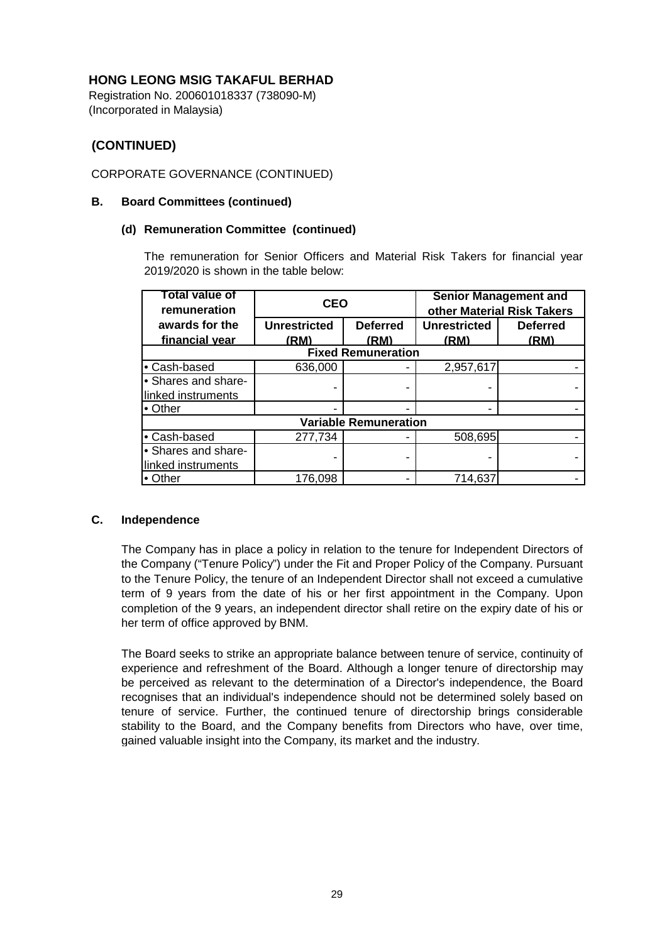Registration No. 200601018337 (738090-M) (Incorporated in Malaysia)

# **(CONTINUED)**

# CORPORATE GOVERNANCE (CONTINUED)

### **B. Board Committees (continued)**

### **(d) Remuneration Committee (continued)**

The remuneration for Senior Officers and Material Risk Takers for financial year 2019/2020 is shown in the table below:

| Total value of<br>remuneration | <b>CEO</b>          |                 |                     | <b>Senior Management and</b><br>other Material Risk Takers |
|--------------------------------|---------------------|-----------------|---------------------|------------------------------------------------------------|
| awards for the                 | <b>Unrestricted</b> | <b>Deferred</b> | <b>Unrestricted</b> | <b>Deferred</b>                                            |
| financial year                 | (RM)                | (RM)            | (RM)                | (RM)                                                       |
| <b>Fixed Remuneration</b>      |                     |                 |                     |                                                            |
| • Cash-based                   | 636,000             |                 | 2,957,617           |                                                            |
| • Shares and share-            |                     |                 |                     |                                                            |
| linked instruments             |                     |                 |                     |                                                            |
| • Other                        |                     |                 |                     |                                                            |
| <b>Variable Remuneration</b>   |                     |                 |                     |                                                            |
| • Cash-based                   | 277,734             |                 | 508,695             |                                                            |
| • Shares and share-            |                     |                 |                     |                                                            |
| linked instruments             |                     |                 |                     |                                                            |
| $\bullet$ Other                | 176,098             |                 | 714,637             |                                                            |

### **C. Independence**

The Company has in place a policy in relation to the tenure for Independent Directors of the Company ("Tenure Policy") under the Fit and Proper Policy of the Company. Pursuant to the Tenure Policy, the tenure of an Independent Director shall not exceed a cumulative term of 9 years from the date of his or her first appointment in the Company. Upon completion of the 9 years, an independent director shall retire on the expiry date of his or her term of office approved by BNM.

The Board seeks to strike an appropriate balance between tenure of service, continuity of experience and refreshment of the Board. Although a longer tenure of directorship may be perceived as relevant to the determination of a Director's independence, the Board recognises that an individual's independence should not be determined solely based on tenure of service. Further, the continued tenure of directorship brings considerable stability to the Board, and the Company benefits from Directors who have, over time, gained valuable insight into the Company, its market and the industry.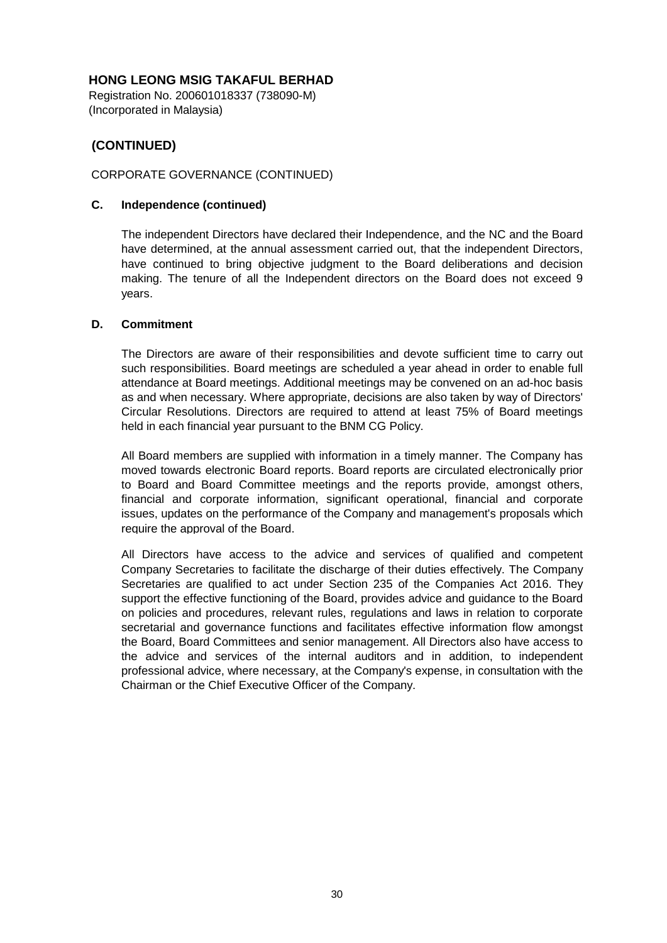Registration No. 200601018337 (738090-M) (Incorporated in Malaysia)

# **(CONTINUED)**

## CORPORATE GOVERNANCE (CONTINUED)

### **C. Independence (continued)**

The independent Directors have declared their Independence, and the NC and the Board have determined, at the annual assessment carried out, that the independent Directors, have continued to bring objective judgment to the Board deliberations and decision making. The tenure of all the Independent directors on the Board does not exceed 9 years.

### **D. Commitment**

The Directors are aware of their responsibilities and devote sufficient time to carry out such responsibilities. Board meetings are scheduled a year ahead in order to enable full attendance at Board meetings. Additional meetings may be convened on an ad-hoc basis as and when necessary. Where appropriate, decisions are also taken by way of Directors' Circular Resolutions. Directors are required to attend at least 75% of Board meetings held in each financial year pursuant to the BNM CG Policy.

All Board members are supplied with information in a timely manner. The Company has moved towards electronic Board reports. Board reports are circulated electronically prior to Board and Board Committee meetings and the reports provide, amongst others, financial and corporate information, significant operational, financial and corporate issues, updates on the performance of the Company and management's proposals which require the approval of the Board.

All Directors have access to the advice and services of qualified and competent Company Secretaries to facilitate the discharge of their duties effectively. The Company Secretaries are qualified to act under Section 235 of the Companies Act 2016. They support the effective functioning of the Board, provides advice and guidance to the Board on policies and procedures, relevant rules, regulations and laws in relation to corporate secretarial and governance functions and facilitates effective information flow amongst the Board, Board Committees and senior management. All Directors also have access to the advice and services of the internal auditors and in addition, to independent professional advice, where necessary, at the Company's expense, in consultation with the Chairman or the Chief Executive Officer of the Company.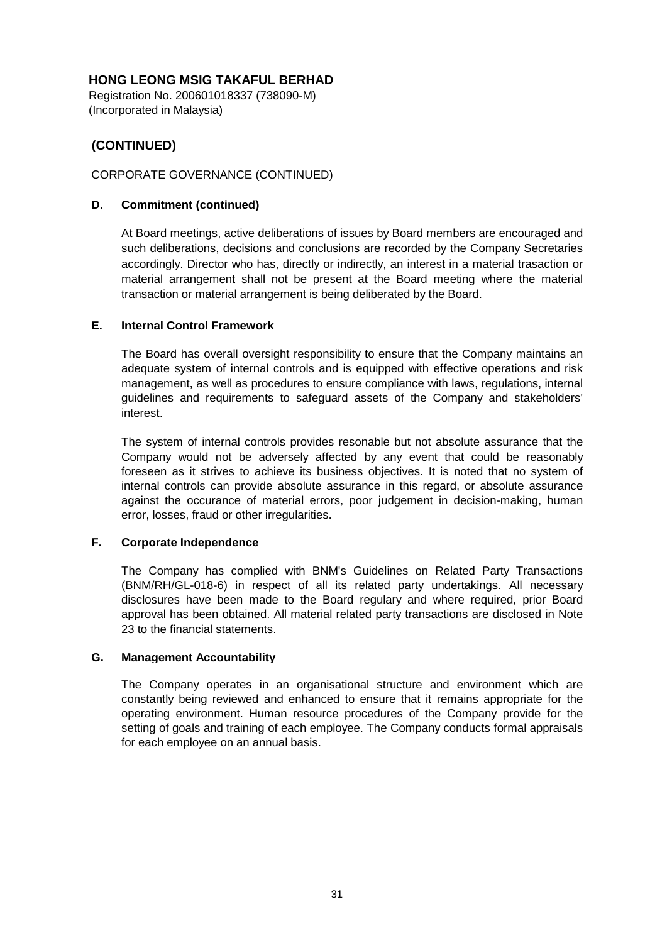Registration No. 200601018337 (738090-M) (Incorporated in Malaysia)

# **(CONTINUED)**

## CORPORATE GOVERNANCE (CONTINUED)

### **D. Commitment (continued)**

At Board meetings, active deliberations of issues by Board members are encouraged and such deliberations, decisions and conclusions are recorded by the Company Secretaries accordingly. Director who has, directly or indirectly, an interest in a material trasaction or material arrangement shall not be present at the Board meeting where the material transaction or material arrangement is being deliberated by the Board.

### **E. Internal Control Framework**

The Board has overall oversight responsibility to ensure that the Company maintains an adequate system of internal controls and is equipped with effective operations and risk management, as well as procedures to ensure compliance with laws, regulations, internal guidelines and requirements to safeguard assets of the Company and stakeholders' interest.

The system of internal controls provides resonable but not absolute assurance that the Company would not be adversely affected by any event that could be reasonably foreseen as it strives to achieve its business objectives. It is noted that no system of internal controls can provide absolute assurance in this regard, or absolute assurance against the occurance of material errors, poor judgement in decision-making, human error, losses, fraud or other irregularities.

### **F. Corporate Independence**

The Company has complied with BNM's Guidelines on Related Party Transactions (BNM/RH/GL-018-6) in respect of all its related party undertakings. All necessary disclosures have been made to the Board regulary and where required, prior Board approval has been obtained. All material related party transactions are disclosed in Note 23 to the financial statements.

### **G. Management Accountability**

The Company operates in an organisational structure and environment which are constantly being reviewed and enhanced to ensure that it remains appropriate for the operating environment. Human resource procedures of the Company provide for the setting of goals and training of each employee. The Company conducts formal appraisals for each employee on an annual basis.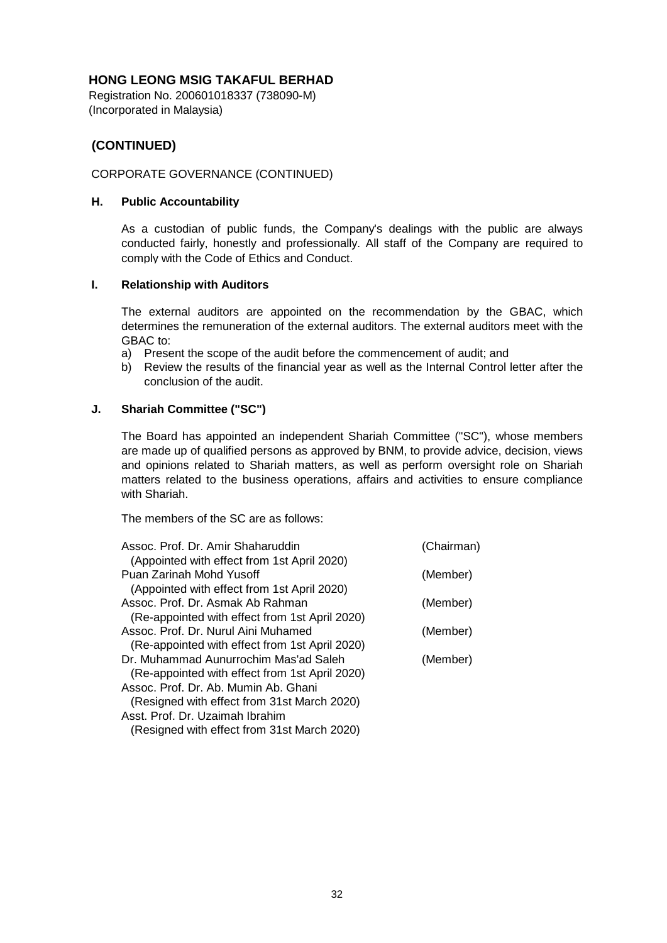Registration No. 200601018337 (738090-M) (Incorporated in Malaysia)

# **(CONTINUED)**

### CORPORATE GOVERNANCE (CONTINUED)

#### **H. Public Accountability**

As a custodian of public funds, the Company's dealings with the public are always conducted fairly, honestly and professionally. All staff of the Company are required to comply with the Code of Ethics and Conduct.

#### **I. Relationship with Auditors**

The external auditors are appointed on the recommendation by the GBAC, which determines the remuneration of the external auditors. The external auditors meet with the GBAC to:

- a) Present the scope of the audit before the commencement of audit; and
- b) Review the results of the financial year as well as the Internal Control letter after the conclusion of the audit.

### **J. Shariah Committee ("SC")**

The Board has appointed an independent Shariah Committee ("SC"), whose members are made up of qualified persons as approved by BNM, to provide advice, decision, views and opinions related to Shariah matters, as well as perform oversight role on Shariah matters related to the business operations, affairs and activities to ensure compliance with Shariah.

The members of the SC are as follows:

| Assoc. Prof. Dr. Amir Shaharuddin<br>(Appointed with effect from 1st April 2020) | (Chairman) |
|----------------------------------------------------------------------------------|------------|
| Puan Zarinah Mohd Yusoff                                                         | (Member)   |
| (Appointed with effect from 1st April 2020)                                      |            |
| Assoc. Prof. Dr. Asmak Ab Rahman                                                 | (Member)   |
| (Re-appointed with effect from 1st April 2020)                                   |            |
| Assoc. Prof. Dr. Nurul Aini Muhamed                                              | (Member)   |
| (Re-appointed with effect from 1st April 2020)                                   |            |
| Dr. Muhammad Aunurrochim Mas'ad Saleh                                            | (Member)   |
| (Re-appointed with effect from 1st April 2020)                                   |            |
| Assoc. Prof. Dr. Ab. Mumin Ab. Ghani                                             |            |
| (Resigned with effect from 31st March 2020)                                      |            |
| Asst. Prof. Dr. Uzaimah Ibrahim                                                  |            |
| (Resigned with effect from 31st March 2020)                                      |            |